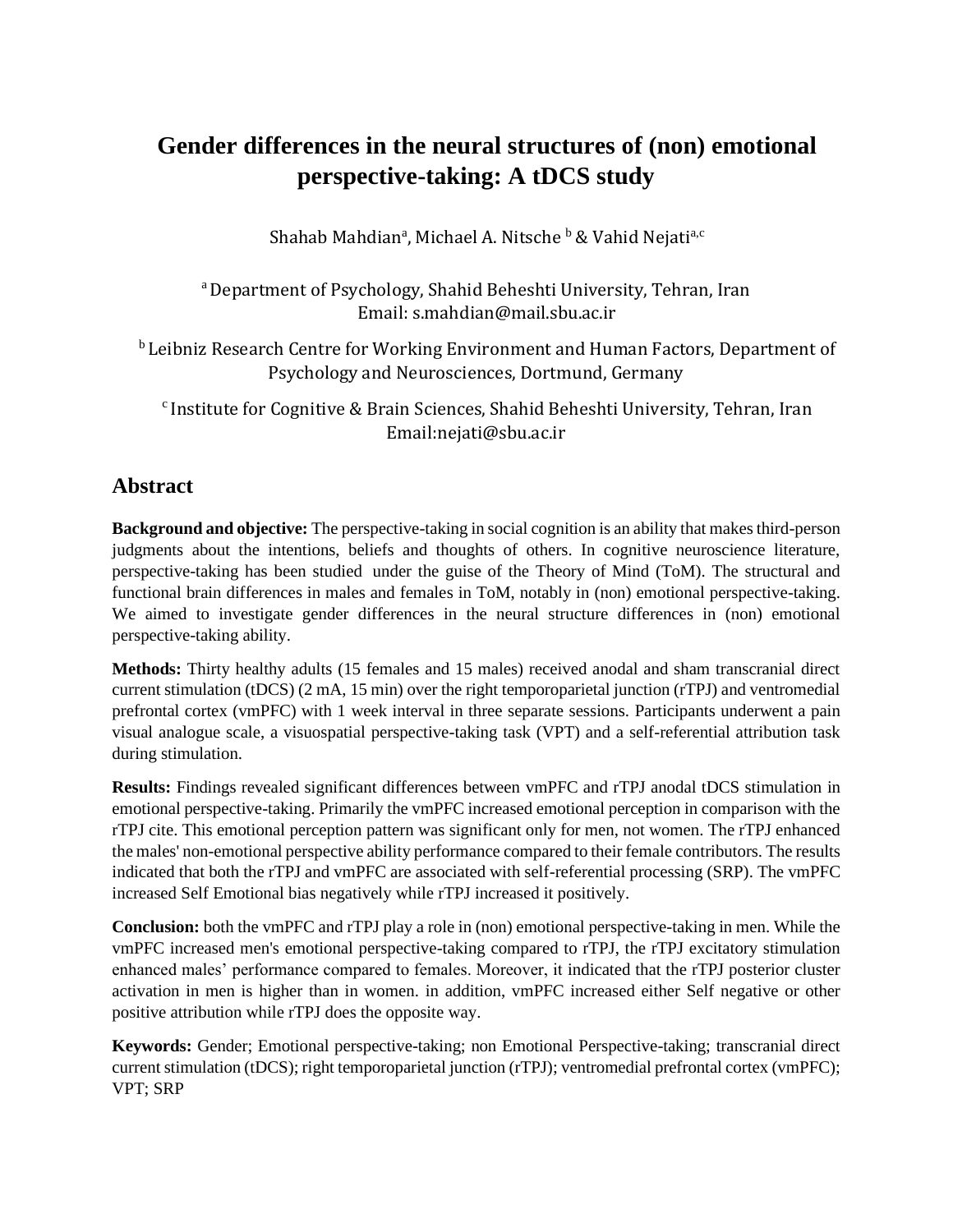# **Gender differences in the neural structures of (non) emotional perspective-taking: A tDCS study**

Shahab Mahdian<sup>a</sup>, Michael A. Nitsche <sup>b</sup> & Vahid Nejati<sup>a,c</sup>

<sup>a</sup> Department of Psychology, Shahid Beheshti University, Tehran, Iran Email: s.mahdian@mail.sbu.ac.ir

<sup>b</sup> Leibniz Research Centre for Working Environment and Human Factors, Department of Psychology and Neurosciences, Dortmund, Germany

c Institute for Cognitive & Brain Sciences, Shahid Beheshti University, Tehran, Iran Email:nejati@sbu.ac.ir

## **Abstract**

**Background and objective:** The perspective-taking in social cognition is an ability that makes third-person judgments about the intentions, beliefs and thoughts of others. In cognitive neuroscience literature, perspective-taking has been studied under the guise of the Theory of Mind (ToM). The structural and functional brain differences in males and females in ToM, notably in (non) emotional perspective-taking. We aimed to investigate gender differences in the neural structure differences in (non) emotional perspective-taking ability.

**Methods:** Thirty healthy adults (15 females and 15 males) received anodal and sham transcranial direct current stimulation (tDCS) (2 mA, 15 min) over the right temporoparietal junction (rTPJ) and ventromedial prefrontal cortex (vmPFC) with 1 week interval in three separate sessions. Participants underwent a pain visual analogue scale, a visuospatial perspective-taking task (VPT) and a self-referential attribution task during stimulation.

**Results:** Findings revealed significant differences between vmPFC and rTPJ anodal tDCS stimulation in emotional perspective-taking. Primarily the vmPFC increased emotional perception in comparison with the rTPJ cite. This emotional perception pattern was significant only for men, not women. The rTPJ enhanced the males' non-emotional perspective ability performance compared to their female contributors. The results indicated that both the rTPJ and vmPFC are associated with self-referential processing (SRP). The vmPFC increased Self Emotional bias negatively while rTPJ increased it positively.

**Conclusion:** both the vmPFC and rTPJ play a role in (non) emotional perspective-taking in men. While the vmPFC increased men's emotional perspective-taking compared to rTPJ, the rTPJ excitatory stimulation enhanced males' performance compared to females. Moreover, it indicated that the rTPJ posterior cluster activation in men is higher than in women. in addition, vmPFC increased either Self negative or other positive attribution while rTPJ does the opposite way.

**Keywords:** Gender; Emotional perspective-taking; non Emotional Perspective-taking; transcranial direct current stimulation (tDCS); right temporoparietal junction (rTPJ); ventromedial prefrontal cortex (vmPFC); VPT; SRP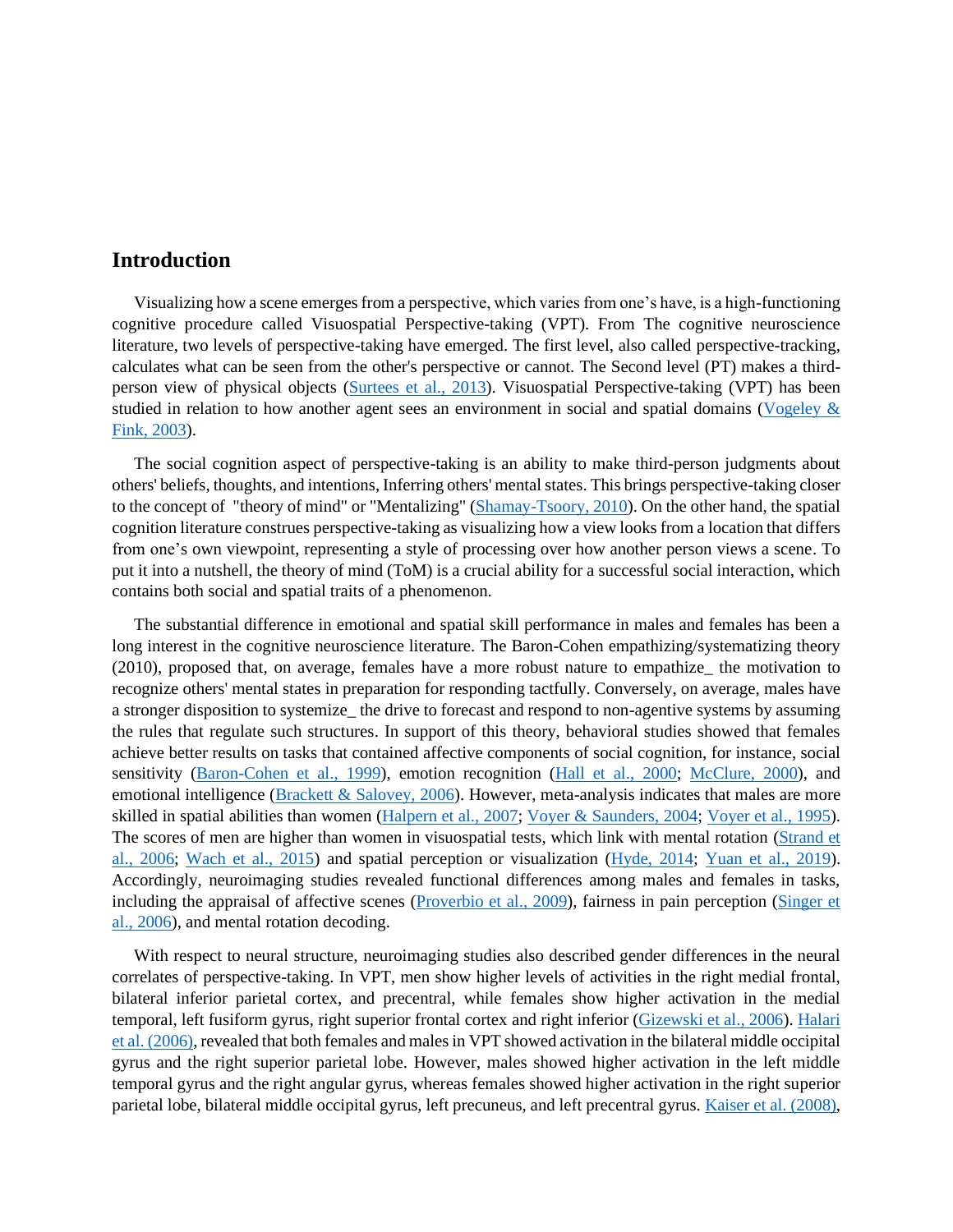## **Introduction**

Visualizing how a scene emerges from a perspective, which varies from one's have, is a high-functioning cognitive procedure called Visuospatial Perspective-taking (VPT). From The cognitive neuroscience literature, two levels of perspective-taking have emerged. The first level, also called perspective-tracking, calculates what can be seen from the other's perspective or cannot. The Second level (PT) makes a third-person view of physical objects [\(Surtees et al., 2013\)](#page-26-0). Visuospatial Perspective-taking (VPT) has been studied in relation to how another agent sees an environment in social and spatial domains [\(Vogeley &](#page-27-0)  [Fink, 2003\)](#page-27-0).

The social cognition aspect of perspective-taking is an ability to make third-person judgments about others' beliefs, thoughts, and intentions, Inferring others' mental states. This brings perspective-taking closer to the concept of "theory of mind" or "Mentalizing" [\(Shamay-Tsoory, 2010\)](#page-26-1). On the other hand, the spatial cognition literature construes perspective-taking as visualizing how a view looks from a location that differs from one's own viewpoint, representing a style of processing over how another person views a scene. To put it into a nutshell, the theory of mind (ToM) is a crucial ability for a successful social interaction, which contains both social and spatial traits of a phenomenon.

The substantial difference in emotional and spatial skill performance in males and females has been a long interest in the cognitive neuroscience literature. The Baron-Cohen empathizing/systematizing theory (2010), proposed that, on average, females have a more robust nature to empathize\_ the motivation to recognize others' mental states in preparation for responding tactfully. Conversely, on average, males have a stronger disposition to systemize\_ the drive to forecast and respond to non-agentive systems by assuming the rules that regulate such structures. In support of this theory, behavioral studies showed that females achieve better results on tasks that contained affective components of social cognition, for instance, social sensitivity [\(Baron-Cohen et al., 1999\)](#page-18-0), emotion recognition [\(Hall et al., 2000;](#page-21-0) [McClure, 2000\)](#page-23-0), and emotional intelligence [\(Brackett & Salovey, 2006\)](#page-18-1). However, meta-analysis indicates that males are more skilled in spatial abilities than women [\(Halpern et al., 2007;](#page-21-1) [Voyer & Saunders, 2004;](#page-27-1) [Voyer et al., 1995\)](#page-27-2). The scores of men are higher than women in visuospatial tests, which link with mental rotation [\(Strand et](#page-26-2)  [al., 2006;](#page-26-2) [Wach et al., 2015\)](#page-27-3) and spatial perception or visualization [\(Hyde, 2014;](#page-21-2) [Yuan et al., 2019\)](#page-27-4). Accordingly, neuroimaging studies revealed functional differences among males and females in tasks, including the appraisal of affective scenes (Proverbio [et al., 2009\)](#page-24-0), fairness in pain perception [\(Singer et](#page-26-3)  [al., 2006\)](#page-26-3), and mental rotation decoding.

With respect to neural structure, neuroimaging studies also described gender differences in the neural correlates of perspective-taking. In VPT, men show higher levels of activities in the right medial frontal, bilateral inferior parietal cortex, and precentral, while females show higher activation in the medial temporal, left fusiform gyrus, right superior frontal cortex and right inferior [\(Gizewski et al., 2006\)](#page-20-0). [Halari](#page-20-1)  [et al. \(2006\),](#page-20-1) revealed that both females and males in VPT showed activation in the bilateral middle occipital gyrus and the right superior parietal lobe. However, males showed higher activation in the left middle temporal gyrus and the right angular gyrus, whereas females showed higher activation in the right superior parietal lobe, bilateral middle occipital gyrus, left precuneus, and left precentral gyrus. [Kaiser et al. \(2008\),](#page-21-3)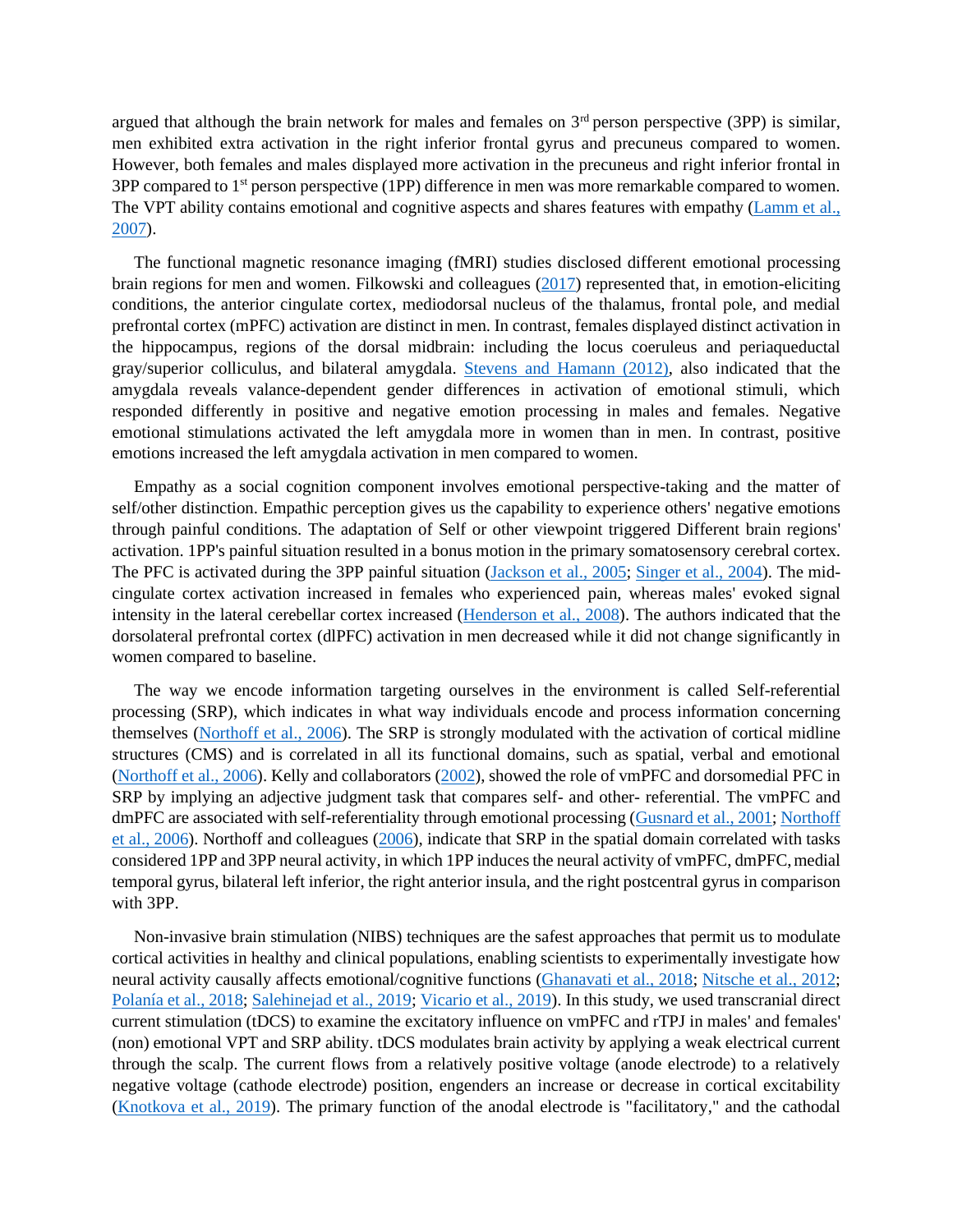argued that although the brain network for males and females on  $3<sup>rd</sup>$  person perspective (3PP) is similar, men exhibited extra activation in the right inferior frontal gyrus and precuneus compared to women. However, both females and males displayed more activation in the precuneus and right inferior frontal in 3PP compared to 1st person perspective (1PP) difference in men was more remarkable compared to women. The VPT ability contains emotional and cognitive aspects and shares features with empathy [\(Lamm et al.,](#page-22-0)  [2007\)](#page-22-0).

The functional magnetic resonance imaging (fMRI) studies disclosed different emotional processing brain regions for men and women. Filkowski and colleagues [\(2017\)](#page-20-2) represented that, in emotion-eliciting conditions, the anterior cingulate cortex, mediodorsal nucleus of the thalamus, frontal pole, and medial prefrontal cortex (mPFC) activation are distinct in men. In contrast, females displayed distinct activation in the hippocampus, regions of the dorsal midbrain: including the locus coeruleus and periaqueductal gray/superior colliculus, and bilateral amygdala. [Stevens and Hamann \(2012\),](#page-26-4) also indicated that the amygdala reveals valance-dependent gender differences in activation of emotional stimuli, which responded differently in positive and negative emotion processing in males and females. Negative emotional stimulations activated the left amygdala more in women than in men. In contrast, positive emotions increased the left amygdala activation in men compared to women.

Empathy as a social cognition component involves emotional perspective-taking and the matter of self/other distinction. Empathic perception gives us the capability to experience others' negative emotions through painful conditions. The adaptation of Self or other viewpoint triggered Different brain regions' activation. 1PP's painful situation resulted in a bonus motion in the primary somatosensory cerebral cortex. The PFC is activated during the 3PP painful situation [\(Jackson et al., 2005;](#page-21-4) [Singer et al., 2004\)](#page-26-5). The midcingulate cortex activation increased in females who experienced pain, whereas males' evoked signal intensity in the lateral cerebellar cortex increased [\(Henderson et al., 2008\)](#page-21-5). The authors indicated that the dorsolateral prefrontal cortex (dlPFC) activation in men decreased while it did not change significantly in women compared to baseline.

The way we encode information targeting ourselves in the environment is called Self-referential processing (SRP), which indicates in what way individuals encode and process information concerning themselves [\(Northoff et al., 2006\)](#page-24-1). The SRP is strongly modulated with the activation of cortical midline structures (CMS) and is correlated in all its functional domains, such as spatial, verbal and emotional [\(Northoff et al., 2006\)](#page-24-1). Kelly and collaborators [\(2002\)](#page-21-6), showed the role of vmPFC and dorsomedial PFC in SRP by implying an adjective judgment task that compares self- and other- referential. The vmPFC and dmPFC are associated with self-referentiality through emotional processing [\(Gusnard et al., 2001;](#page-20-3) Northoff [et al., 2006\)](#page-24-1). Northoff and colleagues [\(2006\)](#page-24-1), indicate that SRP in the spatial domain correlated with tasks considered 1PP and 3PP neural activity, in which 1PP induces the neural activity of vmPFC, dmPFC, medial temporal gyrus, bilateral left inferior, the right anterior insula, and the right postcentral gyrus in comparison with 3PP.

Non-invasive brain stimulation (NIBS) techniques are the safest approaches that permit us to modulate cortical activities in healthy and clinical populations, enabling scientists to experimentally investigate how neural activity causally affects emotional/cognitive functions [\(Ghanavati et al., 2018;](#page-20-4) [Nitsche et al., 2012;](#page-24-2) [Polanía et al., 2018;](#page-24-3) [Salehinejad et al., 2019;](#page-25-0) [Vicario et al., 2019\)](#page-26-6). In this study, we used transcranial direct current stimulation (tDCS) to examine the excitatory influence on vmPFC and rTPJ in males' and females' (non) emotional VPT and SRP ability. tDCS modulates brain activity by applying a weak electrical current through the scalp. The current flows from a relatively positive voltage (anode electrode) to a relatively negative voltage (cathode electrode) position, engenders an increase or decrease in cortical excitability [\(Knotkova et al., 2019\)](#page-22-1). The primary function of the anodal electrode is "facilitatory," and the cathodal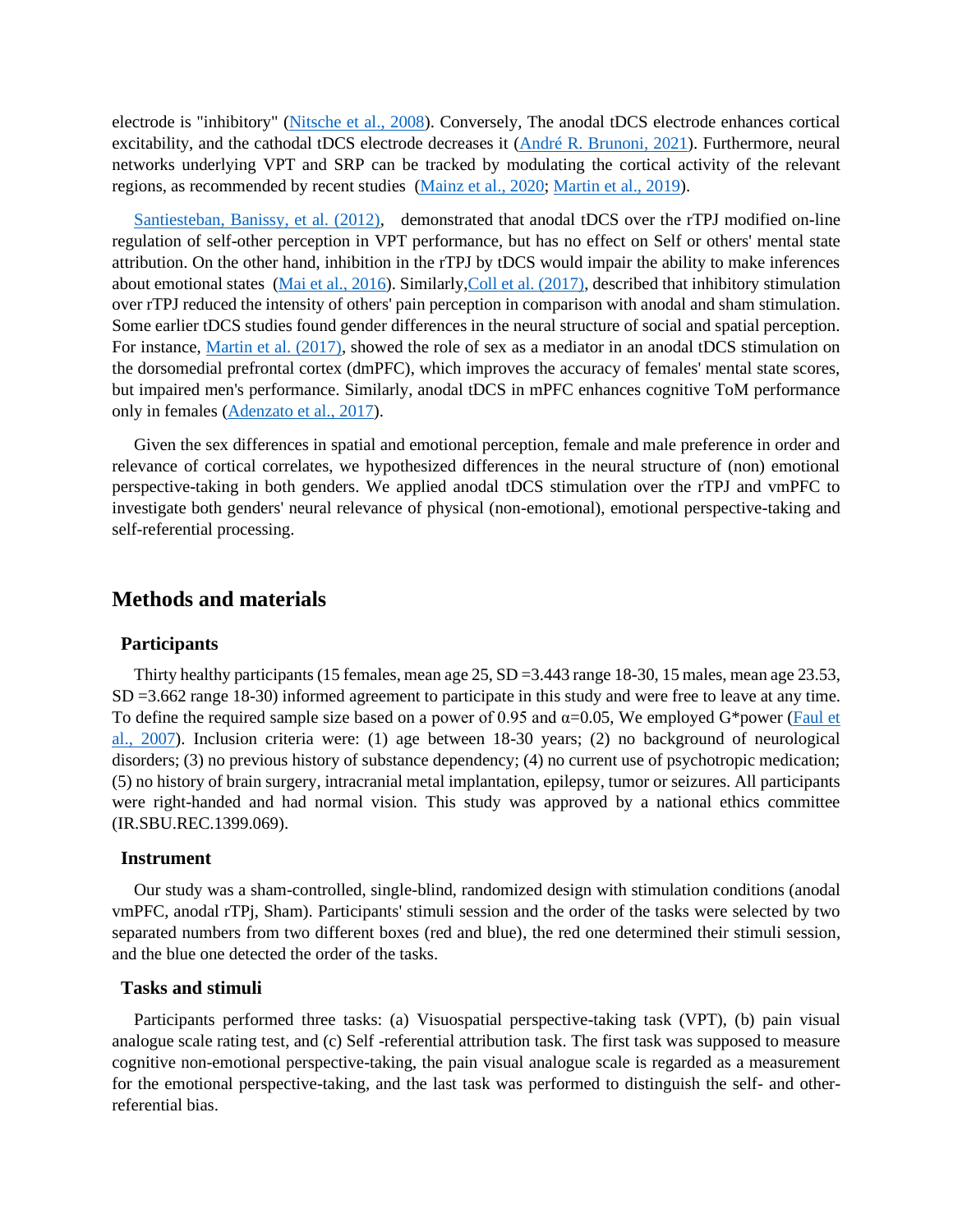electrode is "inhibitory" [\(Nitsche et al., 2008\)](#page-24-4). Conversely, The anodal tDCS electrode enhances cortical excitability, and the cathodal tDCS electrode decreases it [\(André R. Brunoni, 2021\)](#page-18-2). Furthermore, neural networks underlying VPT and SRP can be tracked by modulating the cortical activity of the relevant regions, as recommended by recent studies [\(Mainz et](#page-22-2) al., 2020; [Martin et al., 2019\)](#page-23-1).

[Santiesteban, Banissy, et al. \(2012\),](#page-25-1) demonstrated that anodal tDCS over the rTPJ modified on-line regulation of self-other perception in VPT performance, but has no effect on Self or others' mental state attribution. On the other hand, inhibition in the rTPJ by tDCS would impair the ability to make inferences about emotional states [\(Mai et al., 2016\)](#page-22-3). Similarl[y,Coll et al. \(2017\),](#page-19-0) described that inhibitory stimulation over rTPJ reduced the intensity of others' pain perception in comparison with anodal and sham stimulation. Some earlier tDCS studies found gender differences in the neural structure of social and spatial perception. For instance, [Martin et al. \(2017\),](#page-23-2) showed the role of sex as a mediator in an anodal tDCS stimulation on the dorsomedial prefrontal cortex (dmPFC), which improves the accuracy of females' mental state scores, but impaired men's performance. Similarly, anodal tDCS in mPFC enhances cognitive ToM performance only in females [\(Adenzato et al., 2017\)](#page-18-3).

Given the sex differences in spatial and emotional perception, female and male preference in order and relevance of cortical correlates, we hypothesized differences in the neural structure of (non) emotional perspective-taking in both genders. We applied anodal tDCS stimulation over the rTPJ and vmPFC to investigate both genders' neural relevance of physical (non-emotional), emotional perspective-taking and self-referential processing.

### **Methods and materials**

#### **Participants**

Thirty healthy participants (15 females, mean age 25, SD =3.443 range 18-30, 15 males, mean age 23.53, SD =3.662 range 18-30) informed agreement to participate in this study and were free to leave at any time. To define the required sample size based on a power of 0.95 and  $\alpha$ =0.05, We employed G\*power (Faul et [al., 2007\)](#page-20-5). Inclusion criteria were: (1) age between 18-30 years; (2) no background of neurological disorders; (3) no previous history of substance dependency; (4) no current use of psychotropic medication; (5) no history of brain surgery, intracranial metal implantation, epilepsy, tumor or seizures. All participants were right-handed and had normal vision. This study was approved by a national ethics committee (IR.SBU.REC.1399.069).

#### **Instrument**

Our study was a sham-controlled, single-blind, randomized design with stimulation conditions (anodal vmPFC, anodal rTPj, Sham). Participants' stimuli session and the order of the tasks were selected by two separated numbers from two different boxes (red and blue), the red one determined their stimuli session, and the blue one detected the order of the tasks.

#### **Tasks and stimuli**

Participants performed three tasks: (a) Visuospatial perspective-taking task (VPT), (b) pain visual analogue scale rating test, and (c) Self -referential attribution task. The first task was supposed to measure cognitive non-emotional perspective-taking, the pain visual analogue scale is regarded as a measurement for the emotional perspective-taking, and the last task was performed to distinguish the self- and otherreferential bias.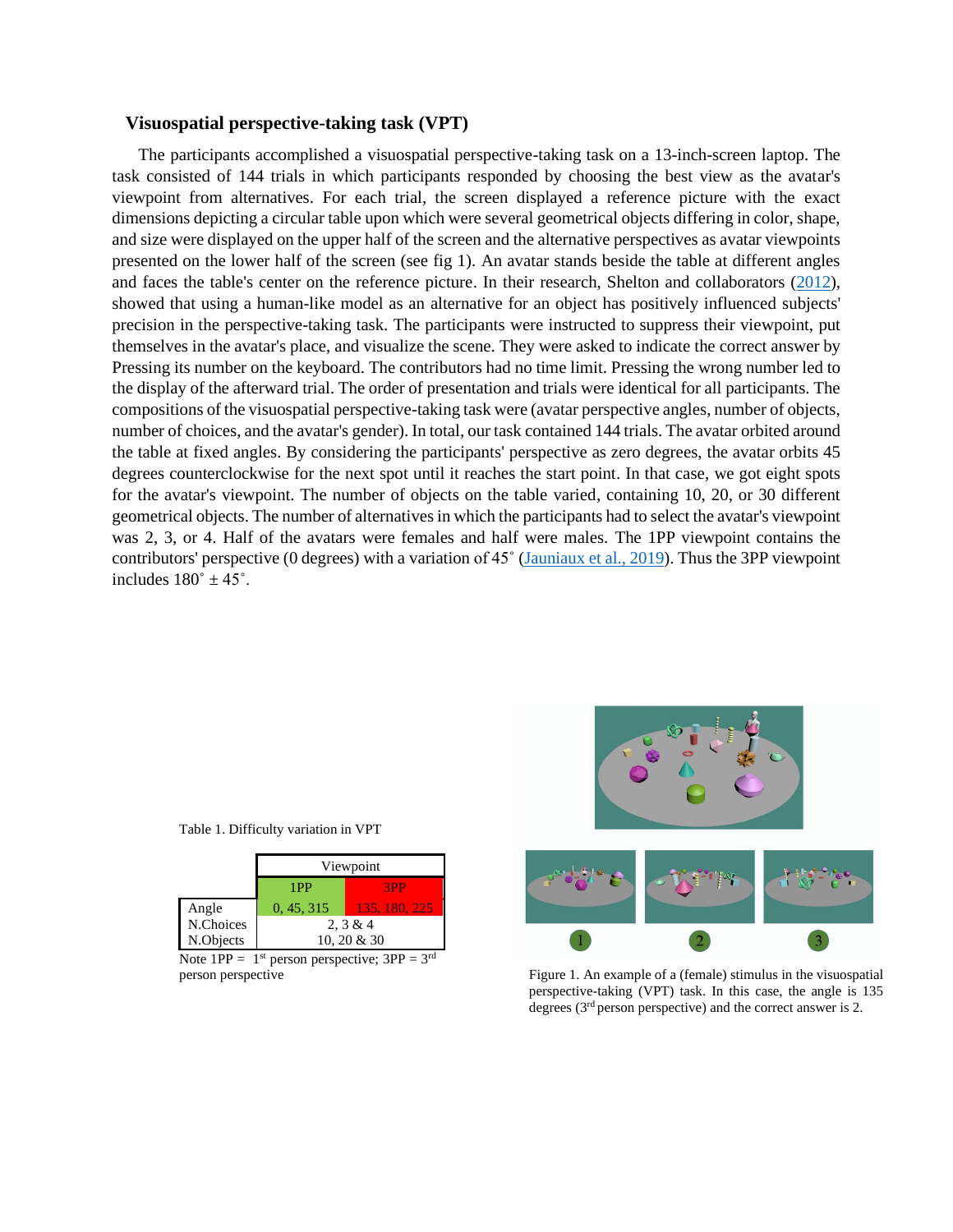#### **Visuospatial perspective-taking task (VPT)**

The participants accomplished a visuospatial perspective-taking task on a 13-inch-screen laptop. The task consisted of 144 trials in which participants responded by choosing the best view as the avatar's viewpoint from alternatives. For each trial, the screen displayed a reference picture with the exact dimensions depicting a circular table upon which were several geometrical objects differing in color, shape, and size were displayed on the upper half of the screen and the alternative perspectives as avatar viewpoints presented on the lower half of the screen (see fig 1). An avatar stands beside the table at different angles and faces the table's center on the reference picture. In their research, Shelton and collaborators [\(2012\)](#page-26-7), showed that using a human-like model as an alternative for an object has positively influenced subjects' precision in the perspective-taking task. The participants were instructed to suppress their viewpoint, put themselves in the avatar's place, and visualize the scene. They were asked to indicate the correct answer by Pressing its number on the keyboard. The contributors had no time limit. Pressing the wrong number led to the display of the afterward trial. The order of presentation and trials were identical for all participants. The compositions of the visuospatial perspective-taking task were (avatar perspective angles, number of objects, number of choices, and the avatar's gender). In total, our task contained 144 trials. The avatar orbited around the table at fixed angles. By considering the participants' perspective as zero degrees, the avatar orbits 45 degrees counterclockwise for the next spot until it reaches the start point. In that case, we got eight spots for the avatar's viewpoint. The number of objects on the table varied, containing 10, 20, or 30 different geometrical objects. The number of alternatives in which the participants had to select the avatar's viewpoint was 2, 3, or 4. Half of the avatars were females and half were males. The 1PP viewpoint contains the contributors' perspective (0 degrees) with a variation of 45˚ [\(Jauniaux et al., 2019\)](#page-21-7). Thus the 3PP viewpoint includes  $180^\circ \pm 45^\circ$ .

| F | $\ddot{\mathbf{C}}$ |
|---|---------------------|
|   |                     |
|   |                     |

person perspective Figure 1. An example of a (female) stimulus in the visuospatial perspective-taking (VPT) task. In this case, the angle is 135 degrees (3<sup>rd</sup> person perspective) and the correct answer is 2.

Table 1. Difficulty variation in VPT

|           | Viewpoint   |               |  |  |  |  |  |
|-----------|-------------|---------------|--|--|--|--|--|
|           | 1PP<br>3PP  |               |  |  |  |  |  |
| Angle     | 0, 45, 315  | 135, 180, 225 |  |  |  |  |  |
| N.Choices | 2, 3 & 4    |               |  |  |  |  |  |
| N.Objects | 10, 20 & 30 |               |  |  |  |  |  |

Note  $1PP = 1^{st}$  person perspective;  $3PP = 3^{rd}$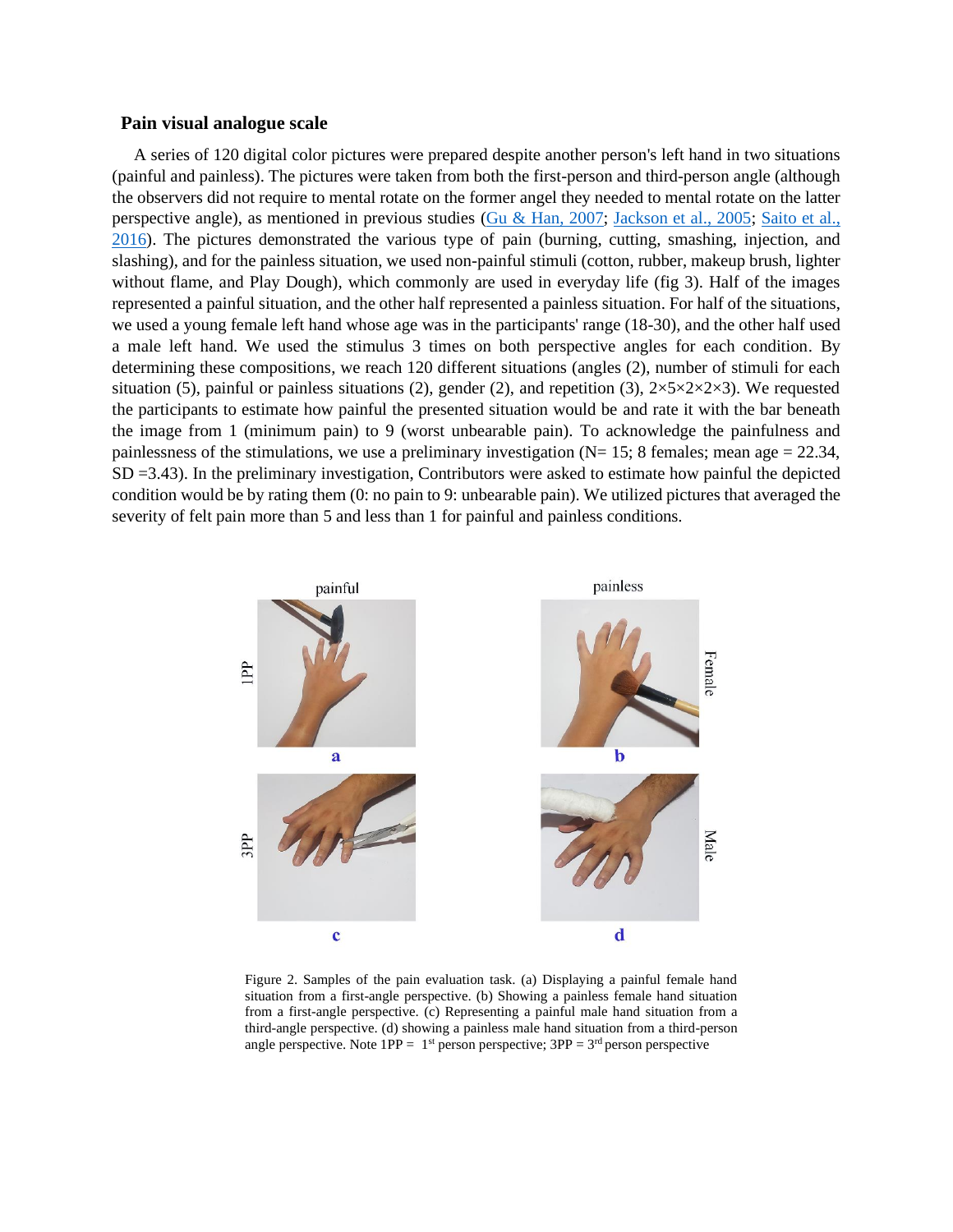#### **Pain visual analogue scale**

A series of 120 digital color pictures were prepared despite another person's left hand in two situations (painful and painless). The pictures were taken from both the first-person and third-person angle (although the observers did not require to mental rotate on the former angel they needed to mental rotate on the latter perspective angle), as mentioned in previous studies [\(Gu & Han, 2007;](#page-20-6) [Jackson et al., 2005;](#page-21-4) [Saito et al.,](#page-25-2)  [2016\)](#page-25-2). The pictures demonstrated the various type of pain (burning, cutting, smashing, injection, and slashing), and for the painless situation, we used non-painful stimuli (cotton, rubber, makeup brush, lighter without flame, and Play Dough), which commonly are used in everyday life (fig 3). Half of the images represented a painful situation, and the other half represented a painless situation. For half of the situations, we used a young female left hand whose age was in the participants' range (18-30), and the other half used a male left hand. We used the stimulus 3 times on both perspective angles for each condition. By determining these compositions, we reach 120 different situations (angles (2), number of stimuli for each situation (5), painful or painless situations (2), gender (2), and repetition (3),  $2\times5\times2\times2\times3$ ). We requested the participants to estimate how painful the presented situation would be and rate it with the bar beneath the image from 1 (minimum pain) to 9 (worst unbearable pain). To acknowledge the painfulness and painlessness of the stimulations, we use a preliminary investigation ( $N= 15$ ; 8 females; mean age = 22.34, SD =3.43). In the preliminary investigation, Contributors were asked to estimate how painful the depicted condition would be by rating them (0: no pain to 9: unbearable pain). We utilized pictures that averaged the severity of felt pain more than 5 and less than 1 for painful and painless conditions.



Figure 2. Samples of the pain evaluation task. (a) Displaying a painful female hand situation from a first-angle perspective. (b) Showing a painless female hand situation from a first-angle perspective. (c) Representing a painful male hand situation from a third-angle perspective. (d) showing a painless male hand situation from a third-person angle perspective. Note  $1PP = 1^{st}$  person perspective;  $3PP = 3^{rd}$  person perspective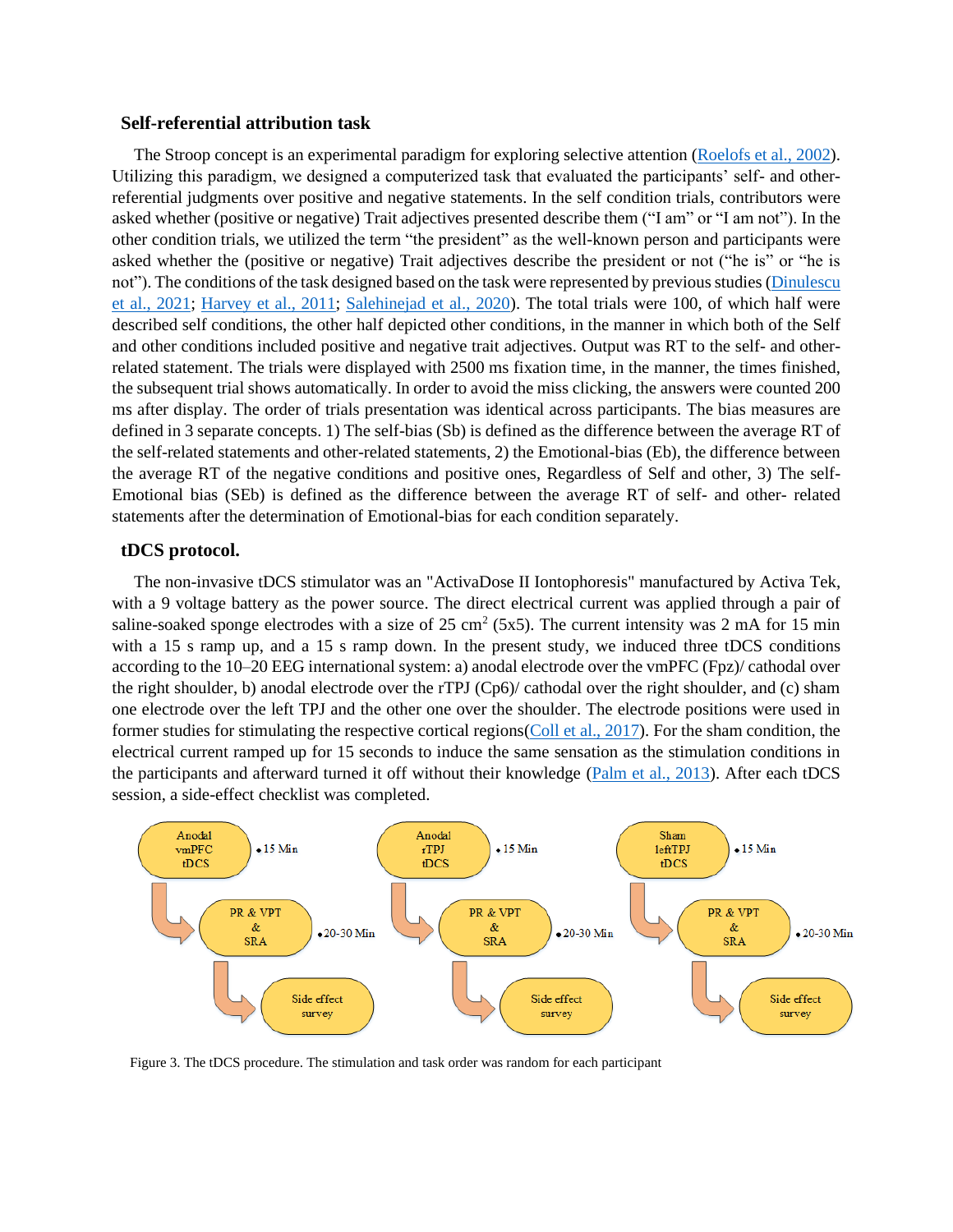#### **Self-referential attribution task**

The Stroop concept is an experimental paradigm for exploring selective attention [\(Roelofs et al., 2002\)](#page-25-3). Utilizing this paradigm, we designed a computerized task that evaluated the participants' self- and otherreferential judgments over positive and negative statements. In the self condition trials, contributors were asked whether (positive or negative) Trait adjectives presented describe them ("I am" or "I am not"). In the other condition trials, we utilized the term "the president" as the well-known person and participants were asked whether the (positive or negative) Trait adjectives describe the president or not ("he is" or "he is not"). The conditions of the task designed based on the task were represented by previous studies [\(Dinulescu](#page-19-1)  [et al., 2021;](#page-19-1) [Harvey et al., 2011;](#page-21-8) [Salehinejad et al., 2020\)](#page-25-4). The total trials were 100, of which half were described self conditions, the other half depicted other conditions, in the manner in which both of the Self and other conditions included positive and negative trait adjectives. Output was RT to the self- and otherrelated statement. The trials were displayed with 2500 ms fixation time, in the manner, the times finished, the subsequent trial shows automatically. In order to avoid the miss clicking, the answers were counted 200 ms after display. The order of trials presentation was identical across participants. The bias measures are defined in 3 separate concepts. 1) The self-bias (Sb) is defined as the difference between the average RT of the self-related statements and other-related statements, 2) the Emotional-bias (Eb), the difference between the average RT of the negative conditions and positive ones, Regardless of Self and other, 3) The self-Emotional bias (SEb) is defined as the difference between the average RT of self- and other- related statements after the determination of Emotional-bias for each condition separately.

#### **tDCS protocol.**

The non-invasive tDCS stimulator was an "ActivaDose II Iontophoresis" manufactured by Activa Tek, with a 9 voltage battery as the power source. The direct electrical current was applied through a pair of saline-soaked sponge electrodes with a size of  $25 \text{ cm}^2$  (5x5). The current intensity was 2 mA for 15 min with a 15 s ramp up, and a 15 s ramp down. In the present study, we induced three tDCS conditions according to the 10–20 EEG international system: a) anodal electrode over the vmPFC (Fpz)/ cathodal over the right shoulder, b) anodal electrode over the rTPJ (Cp6)/ cathodal over the right shoulder, and (c) sham one electrode over the left TPJ and the other one over the shoulder. The electrode positions were used in former studies for stimulating the respective cortical regions[\(Coll et al., 2017\)](#page-19-0). For the sham condition, the electrical current ramped up for 15 seconds to induce the same sensation as the stimulation conditions in the participants and afterward turned it off without their knowledge [\(Palm et al., 2013\)](#page-24-5). After each tDCS session, a side-effect checklist was completed.



Figure 3. The tDCS procedure. The stimulation and task order was random for each participant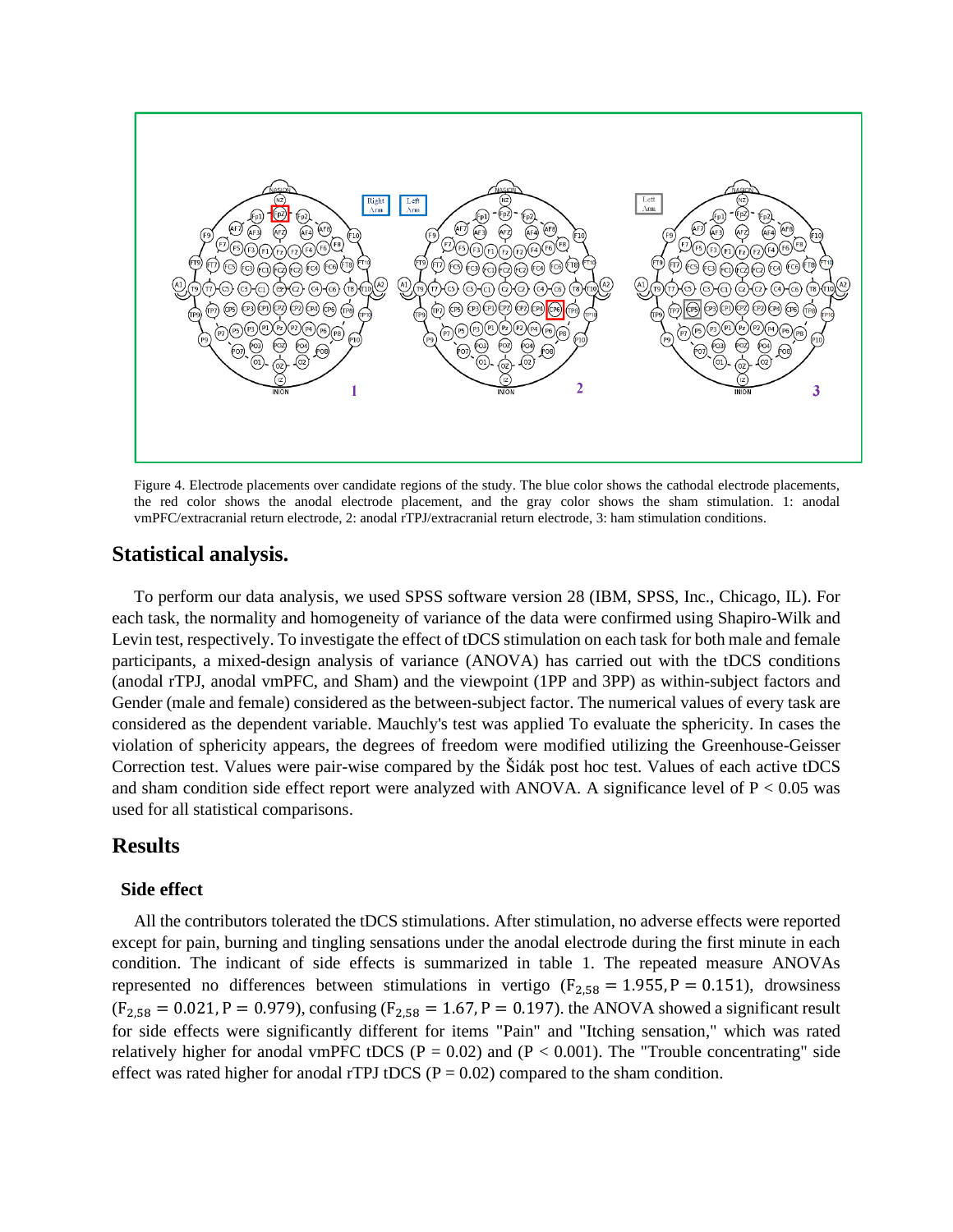

Figure 4. Electrode placements over candidate regions of the study. The blue color shows the cathodal electrode placements, the red color shows the anodal electrode placement, and the gray color shows the sham stimulation. 1: anodal vmPFC/extracranial return electrode, 2: anodal rTPJ/extracranial return electrode, 3: ham stimulation conditions.

## **Statistical analysis.**

To perform our data analysis, we used SPSS software version 28 (IBM, SPSS, Inc., Chicago, IL). For each task, the normality and homogeneity of variance of the data were confirmed using Shapiro-Wilk and Levin test, respectively. To investigate the effect of tDCS stimulation on each task for both male and female participants, a mixed-design analysis of variance (ANOVA) has carried out with the tDCS conditions (anodal rTPJ, anodal vmPFC, and Sham) and the viewpoint (1PP and 3PP) as within-subject factors and Gender (male and female) considered as the between-subject factor. The numerical values of every task are considered as the dependent variable. Mauchly's test was applied To evaluate the sphericity. In cases the violation of sphericity appears, the degrees of freedom were modified utilizing the Greenhouse-Geisser Correction test. Values were pair-wise compared by the Šidák post hoc test. Values of each active tDCS and sham condition side effect report were analyzed with ANOVA. A significance level of  $P < 0.05$  was used for all statistical comparisons.

## **Results**

#### **Side effect**

All the contributors tolerated the tDCS stimulations. After stimulation, no adverse effects were reported except for pain, burning and tingling sensations under the anodal electrode during the first minute in each condition. The indicant of side effects is summarized in table 1. The repeated measure ANOVAs represented no differences between stimulations in vertigo ( $F_{2,58} = 1.955$ ,  $P = 0.151$ ), drowsiness  $(F_{2,58} = 0.021, P = 0.979)$ , confusing  $(F_{2,58} = 1.67, P = 0.197)$ . the ANOVA showed a significant result for side effects were significantly different for items "Pain" and "Itching sensation," which was rated relatively higher for anodal vmPFC tDCS ( $P = 0.02$ ) and ( $P < 0.001$ ). The "Trouble concentrating" side effect was rated higher for anodal rTPJ tDCS ( $P = 0.02$ ) compared to the sham condition.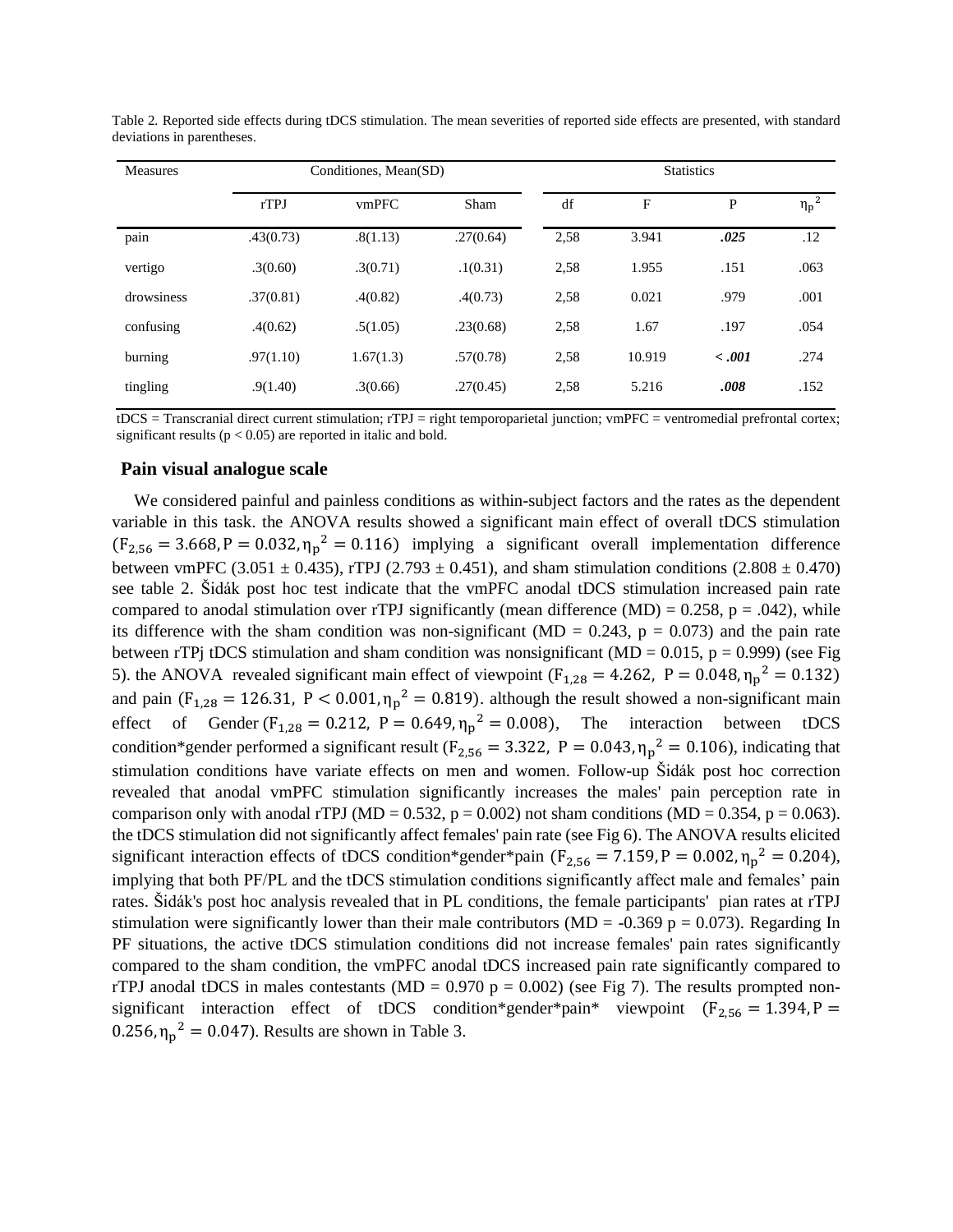| <b>Measures</b> | Conditiones, Mean(SD) |           |           | <b>Statistics</b> |        |        |            |
|-----------------|-----------------------|-----------|-----------|-------------------|--------|--------|------------|
|                 | rTPJ                  | vmPFC     | Sham      | df                | F      | P      | $\eta_p^2$ |
| pain            | .43(0.73)             | .8(1.13)  | .27(0.64) | 2,58              | 3.941  | .025   | .12        |
| vertigo         | .3(0.60)              | .3(0.71)  | .1(0.31)  | 2,58              | 1.955  | .151   | .063       |
| drowsiness      | .37(0.81)             | .4(0.82)  | .4(0.73)  | 2,58              | 0.021  | .979   | .001       |
| confusing       | .4(0.62)              | .5(1.05)  | .23(0.68) | 2,58              | 1.67   | .197   | .054       |
| burning         | .97(1.10)             | 1.67(1.3) | .57(0.78) | 2,58              | 10.919 | < .001 | .274       |
| tingling        | .9(1.40)              | .3(0.66)  | .27(0.45) | 2,58              | 5.216  | .008   | .152       |

Table 2*.* Reported side effects during tDCS stimulation. The mean severities of reported side effects are presented, with standard deviations in parentheses.

tDCS = Transcranial direct current stimulation; rTPJ = right temporoparietal junction; vmPFC = ventromedial prefrontal cortex; significant results ( $p < 0.05$ ) are reported in italic and bold.

#### **Pain visual analogue scale**

We considered painful and painless conditions as within-subject factors and the rates as the dependent variable in this task. the ANOVA results showed a significant main effect of overall tDCS stimulation  $(F_{2,56} = 3.668, P = 0.032, \eta_p^2 = 0.116)$  implying a significant overall implementation difference between vmPFC (3.051  $\pm$  0.435), rTPJ (2.793  $\pm$  0.451), and sham stimulation conditions (2.808  $\pm$  0.470) see table 2. Šidák post hoc test indicate that the vmPFC anodal tDCS stimulation increased pain rate compared to anodal stimulation over rTPJ significantly (mean difference (MD) =  $0.258$ , p =  $.042$ ), while its difference with the sham condition was non-significant (MD =  $0.243$ , p =  $0.073$ ) and the pain rate between rTPj tDCS stimulation and sham condition was nonsignificant ( $MD = 0.015$ ,  $p = 0.999$ ) (see Fig 5). the ANOVA revealed significant main effect of viewpoint ( $F_{1,28} = 4.262$ ,  $P = 0.048$ ,  $\eta_p^2 = 0.132$ ) and pain ( $F_{1,28} = 126.31$ ,  $P < 0.001$ ,  $\eta_p^2 = 0.819$ ). although the result showed a non-significant main effect of Gender  $(F_{1,28} = 0.212, P = 0.649, \eta_p^2 = 0.008)$ , The interaction between tDCS condition\*gender performed a significant result ( $F_{2,56} = 3.322$ ,  $P = 0.043$ ,  $\eta_p^2 = 0.106$ ), indicating that stimulation conditions have variate effects on men and women. Follow-up Šidák post hoc correction revealed that anodal vmPFC stimulation significantly increases the males' pain perception rate in comparison only with anodal rTPJ (MD = 0.532,  $p = 0.002$ ) not sham conditions (MD = 0.354,  $p = 0.063$ ). the tDCS stimulation did not significantly affect females' pain rate (see Fig 6). The ANOVA results elicited significant interaction effects of tDCS condition\*gender\*pain ( $F_{2,56} = 7.159$ ,  $P = 0.002$ ,  $\eta_p^2 = 0.204$ ), implying that both PF/PL and the tDCS stimulation conditions significantly affect male and females' pain rates. Šidák's post hoc analysis revealed that in PL conditions, the female participants' pian rates at rTPJ stimulation were significantly lower than their male contributors ( $MD = -0.369$  p = 0.073). Regarding In PF situations, the active tDCS stimulation conditions did not increase females' pain rates significantly compared to the sham condition, the vmPFC anodal tDCS increased pain rate significantly compared to rTPJ anodal tDCS in males contestants (MD =  $0.970$  p =  $0.002$ ) (see Fig 7). The results prompted nonsignificant interaction effect of tDCS condition\*gender\*pain\* viewpoint  $(F_{2,56} = 1.394, P =$ 0.256,  $\eta_p^2 = 0.047$ . Results are shown in Table 3.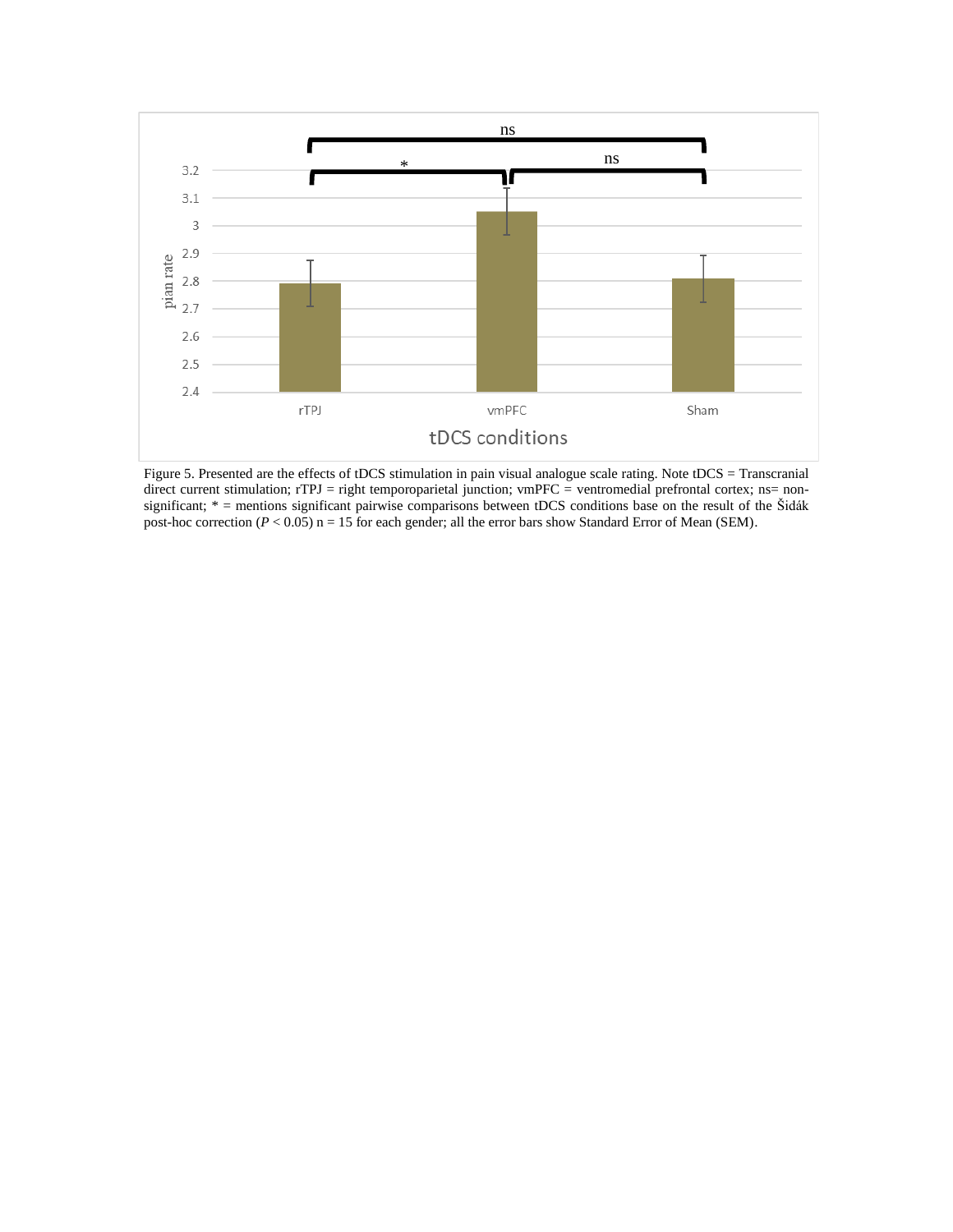

Figure 5. Presented are the effects of tDCS stimulation in pain visual analogue scale rating. Note tDCS = Transcranial direct current stimulation; rTPJ = right temporoparietal junction; vmPFC = ventromedial prefrontal cortex; ns= nonsignificant; \* = mentions significant pairwise comparisons between tDCS conditions base on the result of the Šidák post-hoc correction ( $P < 0.05$ ) n = 15 for each gender; all the error bars show Standard Error of Mean (SEM).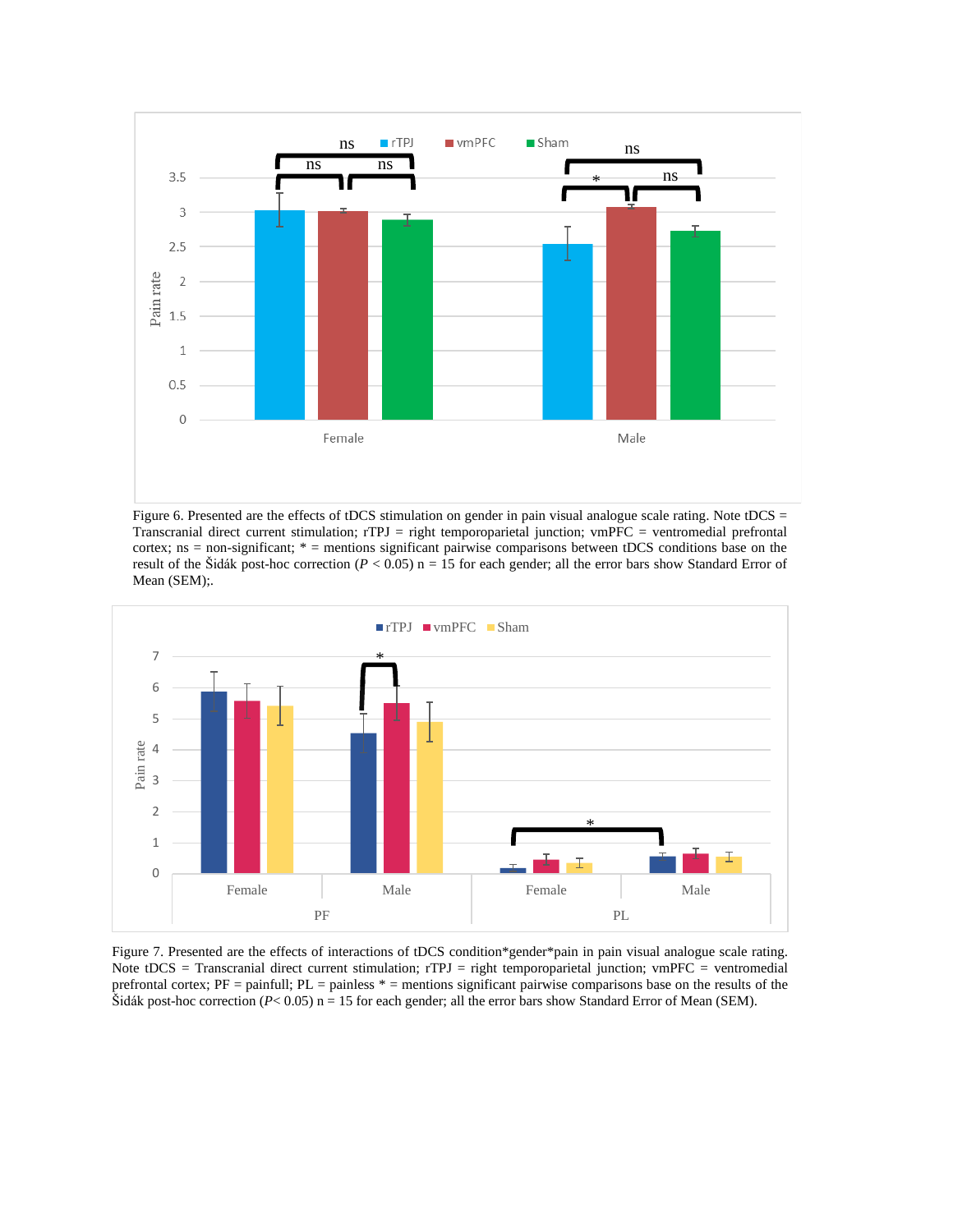

Figure 6. Presented are the effects of tDCS stimulation on gender in pain visual analogue scale rating. Note tDCS = Transcranial direct current stimulation; rTPJ = right temporoparietal junction; vmPFC = ventromedial prefrontal cortex; ns = non-significant; \* = mentions significant pairwise comparisons between tDCS conditions base on the result of the Šidák post-hoc correction ( $P < 0.05$ ) n = 15 for each gender; all the error bars show Standard Error of Mean (SEM);.



Figure 7. Presented are the effects of interactions of tDCS condition\*gender\*pain in pain visual analogue scale rating. Note tDCS = Transcranial direct current stimulation; rTPJ = right temporoparietal junction; vmPFC = ventromedial prefrontal cortex;  $PF =$  painfull;  $PL =$  painless  $* =$  mentions significant pairwise comparisons base on the results of the Šidák post-hoc correction ( $P < 0.05$ ) n = 15 for each gender; all the error bars show Standard Error of Mean (SEM).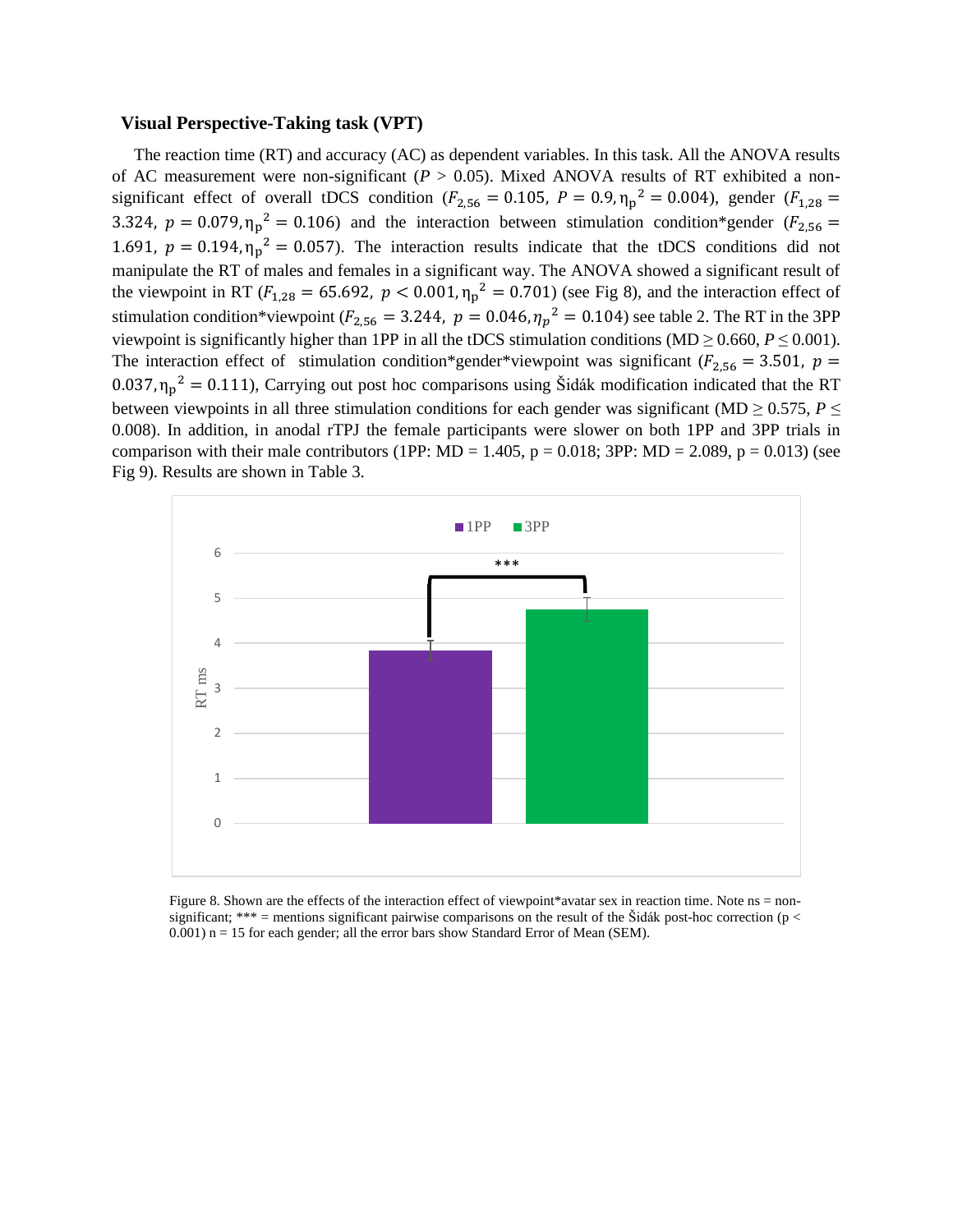#### **Visual Perspective-Taking task (VPT)**

The reaction time (RT) and accuracy (AC) as dependent variables. In this task. All the ANOVA results of AC measurement were non-significant ( $P > 0.05$ ). Mixed ANOVA results of RT exhibited a nonsignificant effect of overall tDCS condition ( $F_{2,56} = 0.105$ ,  $P = 0.9$ ,  $\eta_p^2 = 0.004$ ), gender ( $F_{1,28} =$ 3.324,  $p = 0.079$ ,  $\eta_p^2 = 0.106$ ) and the interaction between stimulation condition\*gender ( $F_{2,56}$  = 1.691,  $p = 0.194$ ,  $\eta_p^2 = 0.057$ ). The interaction results indicate that the tDCS conditions did not manipulate the RT of males and females in a significant way. The ANOVA showed a significant result of the viewpoint in RT ( $F_{1,28} = 65.692$ ,  $p < 0.001$ ,  $\eta_p^2 = 0.701$ ) (see Fig 8), and the interaction effect of stimulation condition\*viewpoint ( $F_{2,56} = 3.244$ ,  $p = 0.046$ ,  $\eta_p^2 = 0.104$ ) see table 2. The RT in the 3PP viewpoint is significantly higher than 1PP in all the tDCS stimulation conditions (MD  $\geq$  0.660,  $P \leq 0.001$ ). The interaction effect of stimulation condition\*gender\*viewpoint was significant ( $F_{2,56} = 3.501$ ,  $p =$ 0.037,  $\eta_p^2 = 0.111$ ), Carrying out post hoc comparisons using Šidák modification indicated that the RT between viewpoints in all three stimulation conditions for each gender was significant (MD  $\geq$  0.575, *P*  $\leq$ 0.008). In addition, in anodal rTPJ the female participants were slower on both 1PP and 3PP trials in comparison with their male contributors (1PP: MD = 1.405,  $p = 0.018$ ; 3PP: MD = 2.089,  $p = 0.013$ ) (see Fig 9). Results are shown in Table 3.



Figure 8. Shown are the effects of the interaction effect of viewpoint\*avatar sex in reaction time. Note ns = nonsignificant; \*\*\* = mentions significant pairwise comparisons on the result of the Šidák post-hoc correction ( $p <$ 0.001) n = 15 for each gender; all the error bars show Standard Error of Mean (SEM).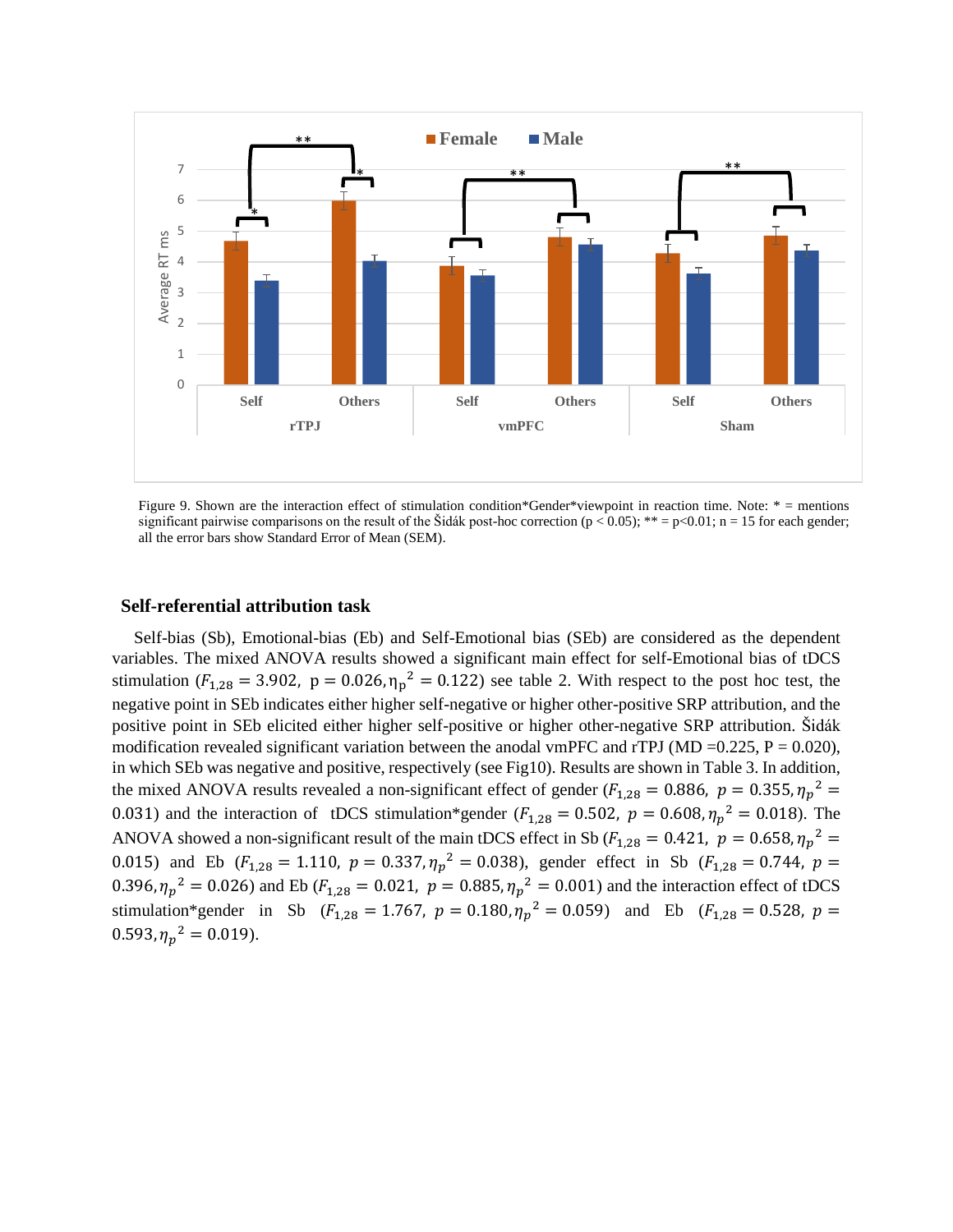

Figure 9. Shown are the interaction effect of stimulation condition\*Gender\*viewpoint in reaction time. Note: \* = mentions significant pairwise comparisons on the result of the Šidák post-hoc correction ( $p < 0.05$ ); \*\* =  $p < 0.01$ ; n = 15 for each gender; all the error bars show Standard Error of Mean (SEM).

#### **Self-referential attribution task**

Self-bias (Sb), Emotional-bias (Eb) and Self-Emotional bias (SEb) are considered as the dependent variables. The mixed ANOVA results showed a significant main effect for self-Emotional bias of tDCS stimulation ( $F_{1,28} = 3.902$ ,  $p = 0.026$ ,  $\eta_p^2 = 0.122$ ) see table 2. With respect to the post hoc test, the negative point in SEb indicates either higher self-negative or higher other-positive SRP attribution, and the positive point in SEb elicited either higher self-positive or higher other-negative SRP attribution. Šidák modification revealed significant variation between the anodal vmPFC and rTPJ (MD =0.225, P = 0.020), in which SEb was negative and positive, respectively (see Fig10). Results are shown in Table 3. In addition, the mixed ANOVA results revealed a non-significant effect of gender ( $F_{1,28} = 0.886$ ,  $p = 0.355$ ,  $\eta_p^2 =$ 0.031) and the interaction of tDCS stimulation\*gender ( $F_{1,28} = 0.502$ ,  $p = 0.608$ ,  $\eta_p^2 = 0.018$ ). The ANOVA showed a non-significant result of the main tDCS effect in Sb ( $F_{1,28} = 0.421$ ,  $p = 0.658$ ,  $\eta_p^2 =$ 0.015) and Eb ( $F_{1,28} = 1.110$ ,  $p = 0.337$ ,  $\eta_p^2 = 0.038$ ), gender effect in Sb ( $F_{1,28} = 0.744$ ,  $p =$ 0.396,  $\eta_p^2 = 0.026$ ) and Eb ( $F_{1,28} = 0.021$ ,  $p = 0.885$ ,  $\eta_p^2 = 0.001$ ) and the interaction effect of tDCS stimulation\*gender in Sb ( $F_{1,28} = 1.767$ ,  $p = 0.180$ ,  $\eta_p^2 = 0.059$ ) and Eb ( $F_{1,28} = 0.528$ ,  $p =$  $0.593, \eta_p^2 = 0.019$ .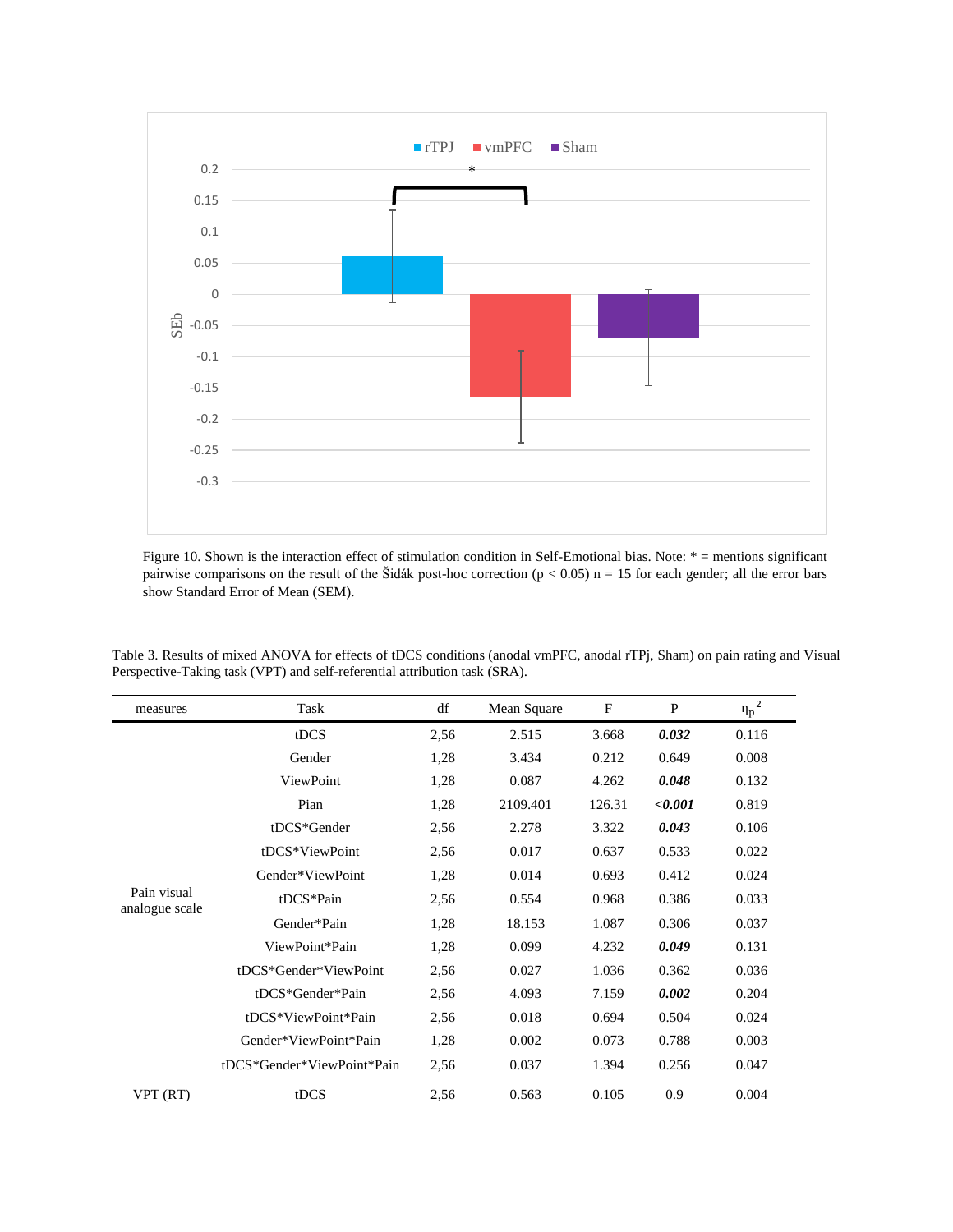

Figure 10. Shown is the interaction effect of stimulation condition in Self-Emotional bias. Note: \* = mentions significant pairwise comparisons on the result of the Šidák post-hoc correction ( $p < 0.05$ ) n = 15 for each gender; all the error bars show Standard Error of Mean (SEM).

| measures                      | Task                       | df   | Mean Square | $\mathbf F$ | P       | ${\eta_p}^2$ |
|-------------------------------|----------------------------|------|-------------|-------------|---------|--------------|
|                               | tDCS                       | 2,56 | 2.515       | 3.668       | 0.032   | 0.116        |
|                               | Gender                     | 1,28 | 3.434       | 0.212       | 0.649   | 0.008        |
|                               | ViewPoint                  | 1,28 | 0.087       | 4.262       | 0.048   | 0.132        |
|                               | Pian                       | 1,28 | 2109.401    | 126.31      | < 0.001 | 0.819        |
|                               | tDCS*Gender                | 2,56 | 2.278       | 3.322       | 0.043   | 0.106        |
|                               | tDCS*ViewPoint             | 2,56 | 0.017       | 0.637       | 0.533   | 0.022        |
|                               | Gender*ViewPoint           | 1,28 | 0.014       | 0.693       | 0.412   | 0.024        |
| Pain visual<br>analogue scale | tDCS*Pain                  | 2,56 | 0.554       | 0.968       | 0.386   | 0.033        |
|                               | Gender*Pain                | 1,28 | 18.153      | 1.087       | 0.306   | 0.037        |
|                               | ViewPoint*Pain             | 1,28 | 0.099       | 4.232       | 0.049   | 0.131        |
|                               | tDCS*Gender*ViewPoint      | 2,56 | 0.027       | 1.036       | 0.362   | 0.036        |
|                               | tDCS*Gender*Pain           | 2,56 | 4.093       | 7.159       | 0.002   | 0.204        |
|                               | tDCS*ViewPoint*Pain        | 2,56 | 0.018       | 0.694       | 0.504   | 0.024        |
|                               | Gender*ViewPoint*Pain      | 1,28 | 0.002       | 0.073       | 0.788   | 0.003        |
|                               | tDCS*Gender*ViewPoint*Pain | 2,56 | 0.037       | 1.394       | 0.256   | 0.047        |
| VPT (RT)                      | tDCS                       | 2,56 | 0.563       | 0.105       | 0.9     | 0.004        |

Table 3. Results of mixed ANOVA for effects of tDCS conditions (anodal vmPFC, anodal rTPj, Sham) on pain rating and Visual Perspective-Taking task (VPT) and self-referential attribution task (SRA).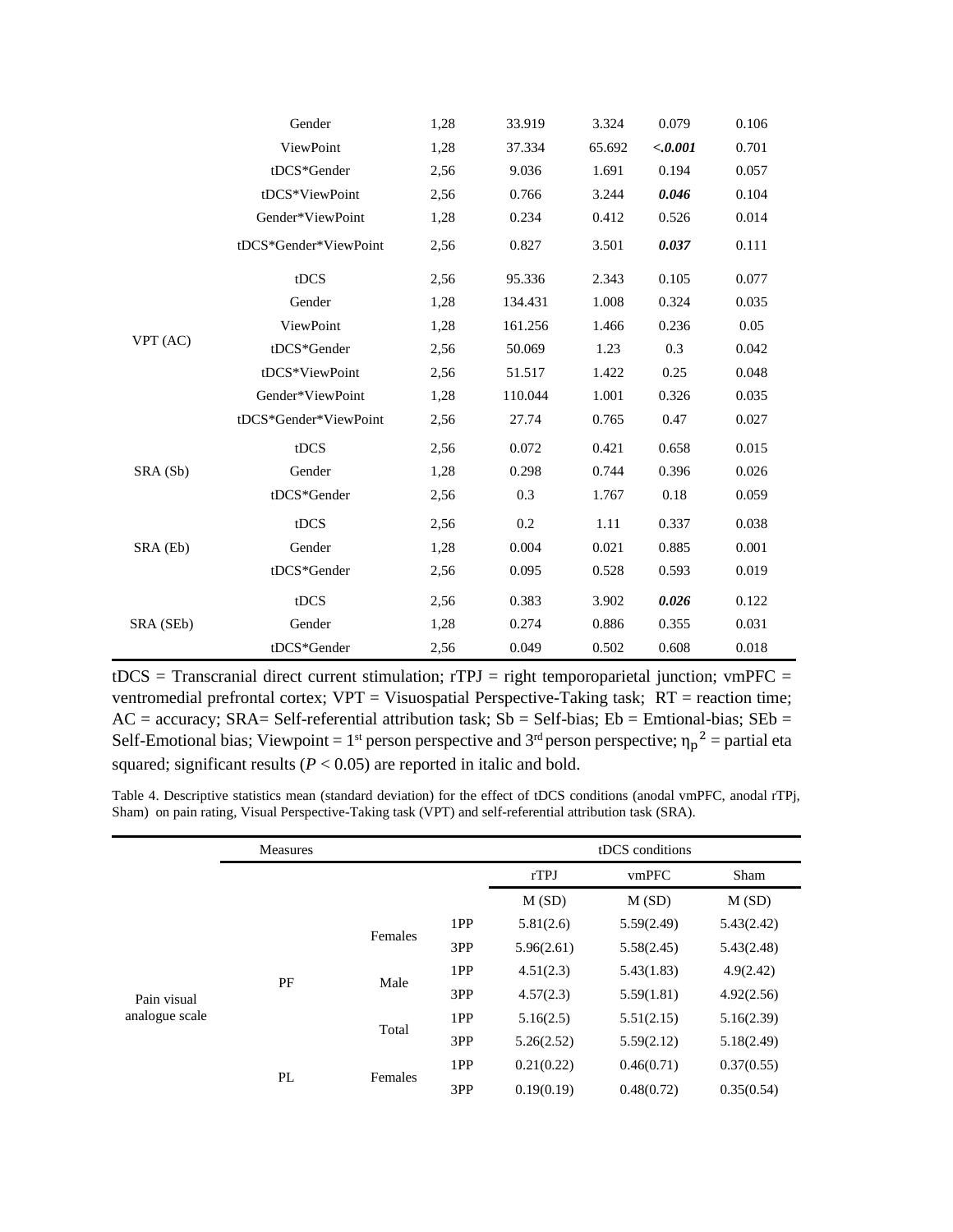|           | Gender                | 1,28 | 33.919  | 3.324  | 0.079   | 0.106 |
|-----------|-----------------------|------|---------|--------|---------|-------|
|           | ViewPoint             | 1,28 | 37.334  | 65.692 | < 0.001 | 0.701 |
|           | tDCS*Gender           | 2,56 | 9.036   | 1.691  | 0.194   | 0.057 |
|           | tDCS*ViewPoint        | 2,56 | 0.766   | 3.244  | 0.046   | 0.104 |
|           | Gender*ViewPoint      | 1,28 | 0.234   | 0.412  | 0.526   | 0.014 |
|           | tDCS*Gender*ViewPoint | 2,56 | 0.827   | 3.501  | 0.037   | 0.111 |
|           | tDCS                  | 2,56 | 95.336  | 2.343  | 0.105   | 0.077 |
|           | Gender                | 1,28 | 134.431 | 1.008  | 0.324   | 0.035 |
|           | ViewPoint             | 1,28 | 161.256 | 1.466  | 0.236   | 0.05  |
| VPT (AC)  | tDCS*Gender           | 2,56 | 50.069  | 1.23   | 0.3     | 0.042 |
|           | tDCS*ViewPoint        | 2,56 | 51.517  | 1.422  | 0.25    | 0.048 |
|           | Gender*ViewPoint      | 1,28 | 110.044 | 1.001  | 0.326   | 0.035 |
|           | tDCS*Gender*ViewPoint | 2,56 | 27.74   | 0.765  | 0.47    | 0.027 |
|           | tDCS                  | 2,56 | 0.072   | 0.421  | 0.658   | 0.015 |
| SRA (Sb)  | Gender                | 1,28 | 0.298   | 0.744  | 0.396   | 0.026 |
|           | tDCS*Gender           | 2,56 | 0.3     | 1.767  | 0.18    | 0.059 |
|           | tDCS                  | 2,56 | 0.2     | 1.11   | 0.337   | 0.038 |
| SRA (Eb)  | Gender                | 1,28 | 0.004   | 0.021  | 0.885   | 0.001 |
|           | tDCS*Gender           | 2,56 | 0.095   | 0.528  | 0.593   | 0.019 |
| SRA (SEb) | tDCS                  | 2,56 | 0.383   | 3.902  | 0.026   | 0.122 |
|           | Gender                | 1,28 | 0.274   | 0.886  | 0.355   | 0.031 |
|           | tDCS*Gender           | 2,56 | 0.049   | 0.502  | 0.608   | 0.018 |

 $tDCS = Transcranial direct current stimulation; rTPJ = right temporal-reconjection; vmpFC =$ ventromedial prefrontal cortex; VPT = Visuospatial Perspective-Taking task; RT = reaction time;  $AC = accuracy$ ;  $SRA = Self-referential$  attribution task;  $Sb = Self-bias$ ;  $Eb = Entional-bias$ ;  $SEb =$ Self-Emotional bias; Viewpoint = 1<sup>st</sup> person perspective and 3<sup>rd</sup> person perspective;  $\eta_p^2$  = partial eta squared; significant results  $(P < 0.05)$  are reported in italic and bold.

Table 4. Descriptive statistics mean (standard deviation) for the effect of tDCS conditions (anodal vmPFC, anodal rTPj, Sham) on pain rating, Visual Perspective-Taking task (VPT) and self-referential attribution task (SRA).

|                | <b>Measures</b> |               |     |            | tDCS conditions |            |
|----------------|-----------------|---------------|-----|------------|-----------------|------------|
|                |                 |               |     | rTPJ       | vmPFC           | Sham       |
|                |                 |               |     | M(SD)      | M(SD)           | M(SD)      |
|                |                 |               | 1PP | 5.81(2.6)  | 5.59(2.49)      | 5.43(2.42) |
| Pain visual    |                 | Females       | 3PP | 5.96(2.61) | 5.58(2.45)      | 5.43(2.48) |
|                |                 | Male<br>Total | 1PP | 4.51(2.3)  | 5.43(1.83)      | 4.9(2.42)  |
|                | PF              |               | 3PP | 4.57(2.3)  | 5.59(1.81)      | 4.92(2.56) |
| analogue scale |                 |               | 1PP | 5.16(2.5)  | 5.51(2.15)      | 5.16(2.39) |
|                |                 |               | 3PP | 5.26(2.52) | 5.59(2.12)      | 5.18(2.49) |
|                |                 |               | 1PP | 0.21(0.22) | 0.46(0.71)      | 0.37(0.55) |
|                | PL              | Females       | 3PP | 0.19(0.19) | 0.48(0.72)      | 0.35(0.54) |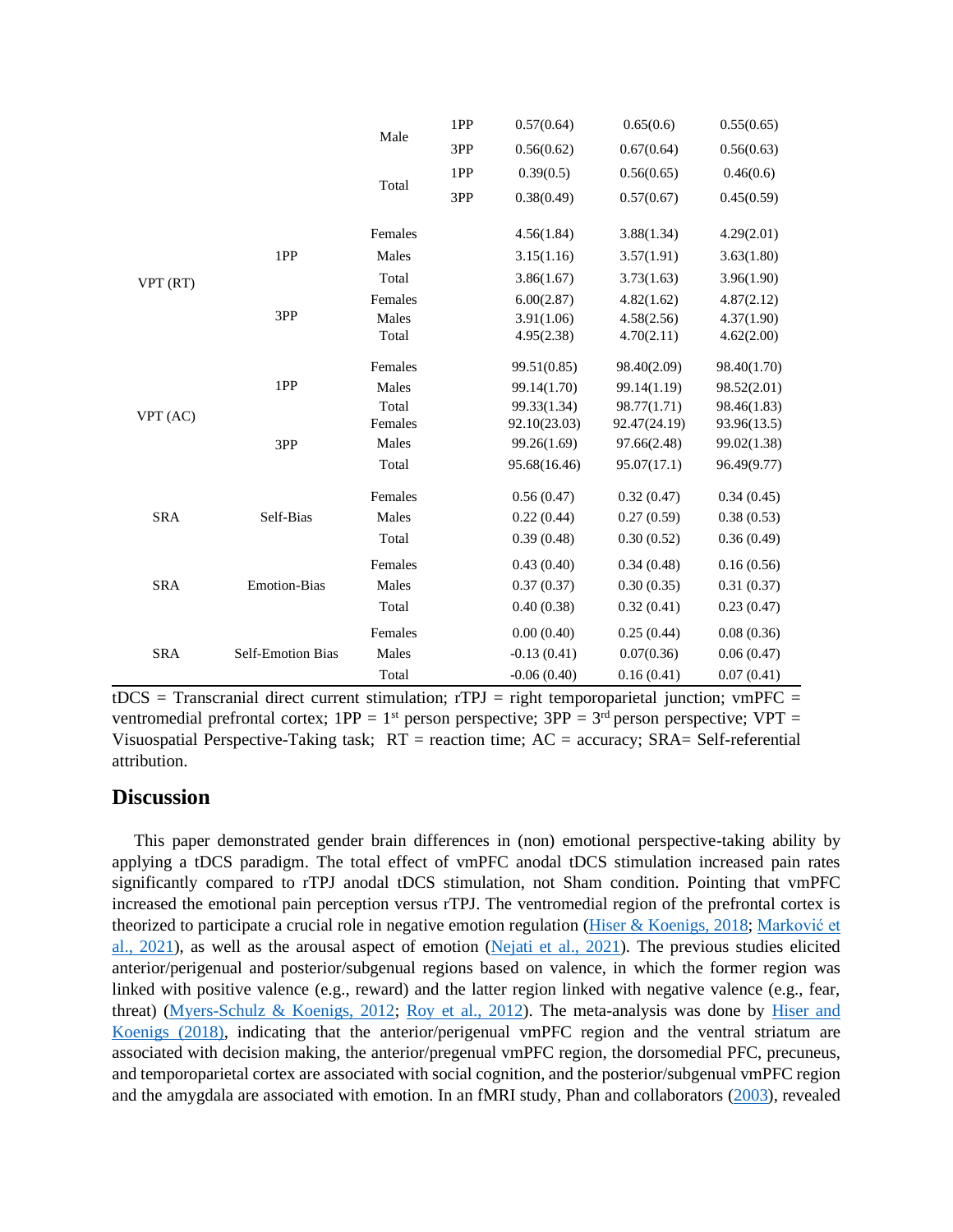|            |                          | Male    | 1PP | 0.57(0.64)    | 0.65(0.6)    | 0.55(0.65)  |
|------------|--------------------------|---------|-----|---------------|--------------|-------------|
|            |                          |         | 3PP | 0.56(0.62)    | 0.67(0.64)   | 0.56(0.63)  |
|            |                          |         | 1PP | 0.39(0.5)     | 0.56(0.65)   | 0.46(0.6)   |
|            |                          | Total   | 3PP | 0.38(0.49)    | 0.57(0.67)   | 0.45(0.59)  |
|            |                          | Females |     | 4.56(1.84)    | 3.88(1.34)   | 4.29(2.01)  |
|            | 1PP                      | Males   |     | 3.15(1.16)    | 3.57(1.91)   | 3.63(1.80)  |
| VPT (RT)   |                          | Total   |     | 3.86(1.67)    | 3.73(1.63)   | 3.96(1.90)  |
|            |                          | Females |     | 6.00(2.87)    | 4.82(1.62)   | 4.87(2.12)  |
|            | 3PP                      | Males   |     | 3.91(1.06)    | 4.58(2.56)   | 4.37(1.90)  |
|            |                          | Total   |     | 4.95(2.38)    | 4.70(2.11)   | 4.62(2.00)  |
|            |                          | Females |     | 99.51(0.85)   | 98.40(2.09)  | 98.40(1.70) |
|            | 1PP                      | Males   |     | 99.14(1.70)   | 99.14(1.19)  | 98.52(2.01) |
|            |                          | Total   |     | 99.33(1.34)   | 98.77(1.71)  | 98.46(1.83) |
| VPT (AC)   |                          | Females |     | 92.10(23.03)  | 92.47(24.19) | 93.96(13.5) |
|            | 3PP                      | Males   |     | 99.26(1.69)   | 97.66(2.48)  | 99.02(1.38) |
|            |                          | Total   |     | 95.68(16.46)  | 95.07(17.1)  | 96.49(9.77) |
|            |                          | Females |     | 0.56(0.47)    | 0.32(0.47)   | 0.34(0.45)  |
| <b>SRA</b> | Self-Bias                | Males   |     | 0.22(0.44)    | 0.27(0.59)   | 0.38(0.53)  |
|            |                          | Total   |     | 0.39(0.48)    | 0.30(0.52)   | 0.36(0.49)  |
|            |                          | Females |     | 0.43(0.40)    | 0.34(0.48)   | 0.16(0.56)  |
| <b>SRA</b> | <b>Emotion-Bias</b>      | Males   |     | 0.37(0.37)    | 0.30(0.35)   | 0.31(0.37)  |
|            |                          | Total   |     | 0.40(0.38)    | 0.32(0.41)   | 0.23(0.47)  |
|            |                          | Females |     | 0.00(0.40)    | 0.25(0.44)   | 0.08(0.36)  |
| <b>SRA</b> | <b>Self-Emotion Bias</b> | Males   |     | $-0.13(0.41)$ | 0.07(0.36)   | 0.06(0.47)  |
|            |                          | Total   |     | $-0.06(0.40)$ | 0.16(0.41)   | 0.07(0.41)  |

 $tDCS$  = Transcranial direct current stimulation;  $rTPJ$  = right temporoparietal junction; vmPFC = ventromedial prefrontal cortex;  $1PP = 1^{st}$  person perspective;  $3PP = 3^{rd}$  person perspective;  $VPT =$ Visuospatial Perspective-Taking task;  $RT =$  reaction time;  $AC =$  accuracy;  $SRA =$  Self-referential attribution.

## **Discussion**

This paper demonstrated gender brain differences in (non) emotional perspective-taking ability by applying a tDCS paradigm. The total effect of vmPFC anodal tDCS stimulation increased pain rates significantly compared to rTPJ anodal tDCS stimulation, not Sham condition. Pointing that vmPFC increased the emotional pain perception versus rTPJ. The ventromedial region of the prefrontal cortex is theorized to participate a crucial role in negative emotion regulation [\(Hiser & Koenigs, 2018;](#page-21-9) [Marković et](#page-23-3)  [al., 2021\)](#page-23-3), as well as the arousal aspect of emotion [\(Nejati et al., 2021\)](#page-23-4). The previous studies elicited anterior/perigenual and posterior/subgenual regions based on valence, in which the former region was linked with positive valence (e.g., reward) and the latter region linked with negative valence (e.g., fear, threat) [\(Myers-Schulz & Koenigs, 2012;](#page-23-5) [Roy et al., 2012\)](#page-25-5). The meta-analysis was done by [Hiser and](#page-21-9)  [Koenigs \(2018\),](#page-21-9) indicating that the anterior/perigenual vmPFC region and the ventral striatum are associated with decision making, the anterior/pregenual vmPFC region, the dorsomedial PFC, precuneus, and temporoparietal cortex are associated with social cognition, and the posterior/subgenual vmPFC region and the amygdala are associated with emotion. In an fMRI study, Phan and collaborators [\(2003\)](#page-24-6), revealed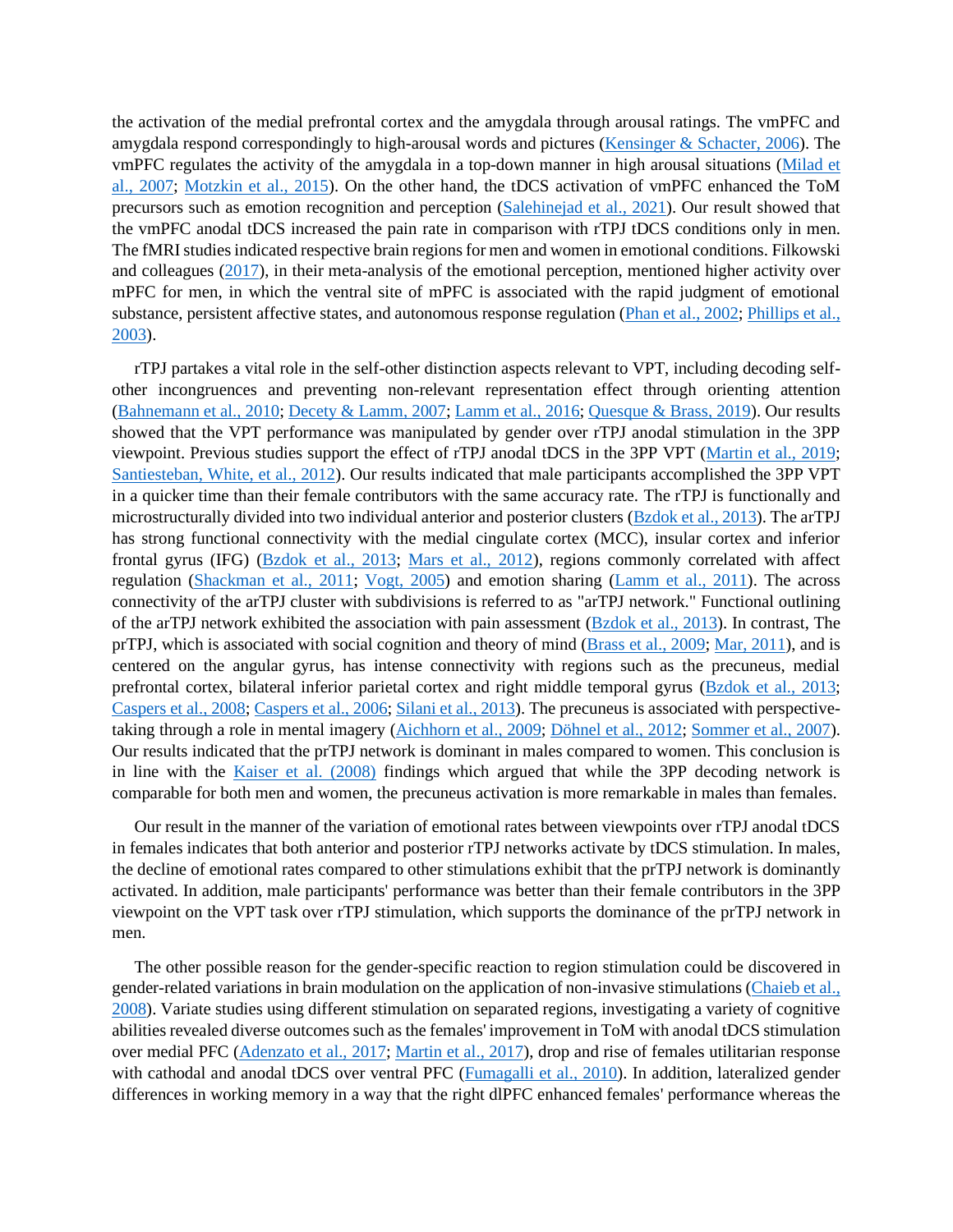the activation of the medial prefrontal cortex and the amygdala through arousal ratings. The vmPFC and amygdala respond correspondingly to high-arousal words and pictures [\(Kensinger & Schacter, 2006\)](#page-22-4). The vmPFC regulates the activity of the amygdala in a top-down manner in high arousal situations [\(Milad et](#page-23-6)  [al., 2007;](#page-23-6) [Motzkin et al., 2015\)](#page-23-7). On the other hand, the tDCS activation of vmPFC enhanced the ToM precursors such as emotion recognition and perception [\(Salehinejad et al., 2021\)](#page-25-6). Our result showed that the vmPFC anodal tDCS increased the pain rate in comparison with rTPJ tDCS conditions only in men. The fMRI studies indicated respective brain regions for men and women in emotional conditions. Filkowski and colleagues [\(2017\)](#page-20-2), in their meta-analysis of the emotional perception, mentioned higher activity over mPFC for men, in which the ventral site of mPFC is associated with the rapid judgment of emotional substance, persistent affective states, and autonomous response regulation [\(Phan et al., 2002;](#page-24-7) [Phillips et al.,](#page-24-8)  [2003\)](#page-24-8).

rTPJ partakes a vital role in the self-other distinction aspects relevant to VPT, including decoding selfother incongruences and preventing non-relevant representation effect through orienting attention [\(Bahnemann et al., 2010;](#page-18-4) [Decety & Lamm, 2007;](#page-19-2) [Lamm et al., 2016;](#page-22-5) [Quesque & Brass, 2019\)](#page-25-7). Our results showed that the VPT performance was manipulated by gender over rTPJ anodal stimulation in the 3PP viewpoint. Previous studies support the effect of rTPJ anodal tDCS in the 3PP VPT [\(Martin et al., 2019;](#page-23-1) [Santiesteban, White, et al., 2012\)](#page-25-8). Our results indicated that male participants accomplished the 3PP VPT in a quicker time than their female contributors with the same accuracy rate. The rTPJ is functionally and microstructurally divided into two individual anterior and posterior clusters [\(Bzdok et al., 2013\)](#page-19-3). The arTPJ has strong functional connectivity with the medial cingulate cortex (MCC), insular cortex and inferior frontal gyrus (IFG) [\(Bzdok et al., 2013;](#page-19-3) [Mars et al., 2012\)](#page-23-8), regions commonly correlated with affect regulation [\(Shackman et al., 2011;](#page-26-8) [Vogt, 2005\)](#page-27-5) and emotion sharing [\(Lamm et al., 2011\)](#page-22-6). The across connectivity of the arTPJ cluster with subdivisions is referred to as "arTPJ network." Functional outlining of the arTPJ network exhibited the association with pain assessment [\(Bzdok et al., 2013\)](#page-19-3). In contrast, The prTPJ, which is associated with social cognition and theory of mind [\(Brass et al., 2009;](#page-18-5) [Mar, 2011\)](#page-22-7), and is centered on the angular gyrus, has intense connectivity with regions such as the precuneus, medial prefrontal cortex, bilateral inferior parietal cortex and right middle temporal gyrus [\(Bzdok et al., 2013;](#page-19-3) [Caspers et al., 2008;](#page-19-4) [Caspers et al., 2006;](#page-19-5) [Silani et al., 2013\)](#page-26-9). The precuneus is associated with perspectivetaking through a role in mental imagery [\(Aichhorn et al., 2009;](#page-18-6) [Döhnel et al., 2012;](#page-20-7) [Sommer et al., 2007\)](#page-26-10). Our results indicated that the prTPJ network is dominant in males compared to women. This conclusion is in line with the [Kaiser et al. \(2008\)](#page-21-3) findings which argued that while the 3PP decoding network is comparable for both men and women, the precuneus activation is more remarkable in males than females.

Our result in the manner of the variation of emotional rates between viewpoints over rTPJ anodal tDCS in females indicates that both anterior and posterior rTPJ networks activate by tDCS stimulation. In males, the decline of emotional rates compared to other stimulations exhibit that the prTPJ network is dominantly activated. In addition, male participants' performance was better than their female contributors in the 3PP viewpoint on the VPT task over rTPJ stimulation, which supports the dominance of the prTPJ network in men.

The other possible reason for the gender-specific reaction to region stimulation could be discovered in gender-related variations in brain modulation on the application of non-invasive stimulations [\(Chaieb et al.,](#page-19-6)  [2008\)](#page-19-6). Variate studies using different stimulation on separated regions, investigating a variety of cognitive abilities revealed diverse outcomes such as the females' improvement in ToM with anodal tDCS stimulation over medial PFC [\(Adenzato et al., 2017;](#page-18-3) Martin [et al., 2017\)](#page-23-2), drop and rise of females utilitarian response with cathodal and anodal tDCS over ventral PFC [\(Fumagalli et al., 2010\)](#page-20-8). In addition, lateralized gender differences in working memory in a way that the right dlPFC enhanced females' performance whereas the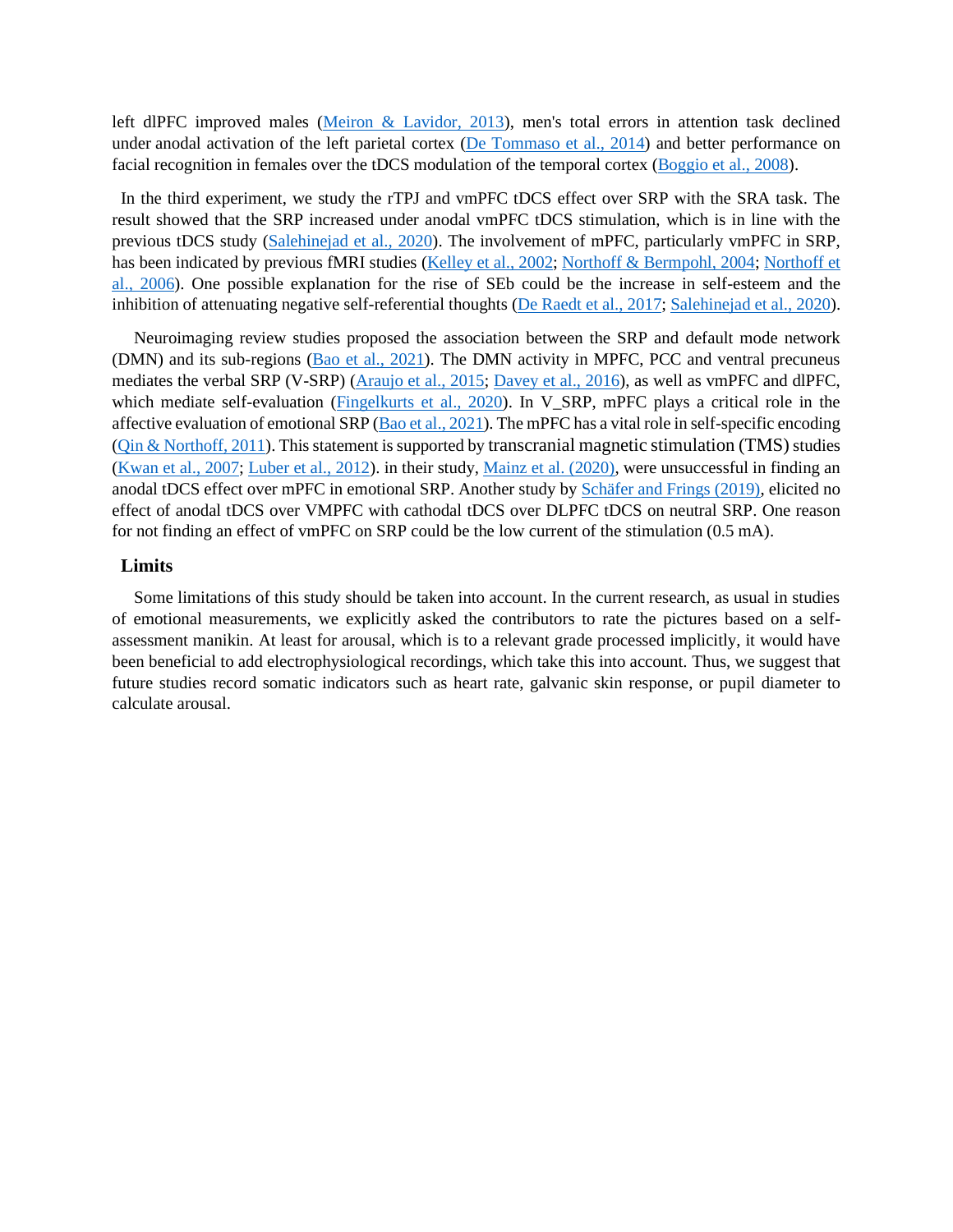left dlPFC improved males [\(Meiron & Lavidor, 2013\)](#page-23-9), men's total errors in attention task declined under anodal activation of the left parietal cortex [\(De Tommaso et al., 2014\)](#page-19-7) and better performance on facial recognition in females over the tDCS modulation of the temporal cortex [\(Boggio et al., 2008\)](#page-18-7).

In the third experiment, we study the rTPJ and vmPFC tDCS effect over SRP with the SRA task. The result showed that the SRP increased under anodal vmPFC tDCS stimulation, which is in line with the previous tDCS study [\(Salehinejad et al., 2020\)](#page-25-4). The involvement of mPFC, particularly vmPFC in SRP, has been indicated by previous fMRI studies [\(Kelley et al., 2002;](#page-21-6) [Northoff & Bermpohl, 2004;](#page-24-9) Northoff et [al., 2006\)](#page-24-1). One possible explanation for the rise of SEb could be the increase in self-esteem and the inhibition of attenuating negative self-referential thoughts [\(De Raedt et al., 2017;](#page-19-8) [Salehinejad et al., 2020\)](#page-25-4).

Neuroimaging review studies proposed the association between the SRP and default mode network (DMN) and its sub-regions [\(Bao et al., 2021\)](#page-18-8). The DMN activity in MPFC, PCC and ventral precuneus mediates the verbal SRP (V-SRP) [\(Araujo et al., 2015;](#page-18-9) [Davey et al., 2016\)](#page-19-9), as well as vmPFC and dlPFC, which mediate self-evaluation [\(Fingelkurts et al., 2020\)](#page-20-9). In V\_SRP, mPFC plays a critical role in the affective evaluation of emotional SRP [\(Bao et al., 2021\)](#page-18-8). The mPFC has a vital role in self-specific encoding [\(Qin & Northoff, 2011\)](#page-25-9). This statement is supported by transcranial magnetic stimulation (TMS) studies [\(Kwan et al., 2007;](#page-22-8) [Luber et al., 2012\)](#page-22-9). in their study, [Mainz et al. \(2020\),](#page-22-2) were unsuccessful in finding an anodal tDCS effect over mPFC in emotional SRP. Another study by [Schäfer and Frings \(2019\),](#page-25-10) elicited no effect of anodal tDCS over VMPFC with cathodal tDCS over DLPFC tDCS on neutral SRP. One reason for not finding an effect of vmPFC on SRP could be the low current of the stimulation (0.5 mA).

#### **Limits**

Some limitations of this study should be taken into account. In the current research, as usual in studies of emotional measurements, we explicitly asked the contributors to rate the pictures based on a selfassessment manikin. At least for arousal, which is to a relevant grade processed implicitly, it would have been beneficial to add electrophysiological recordings, which take this into account. Thus, we suggest that future studies record somatic indicators such as heart rate, galvanic skin response, or pupil diameter to calculate arousal.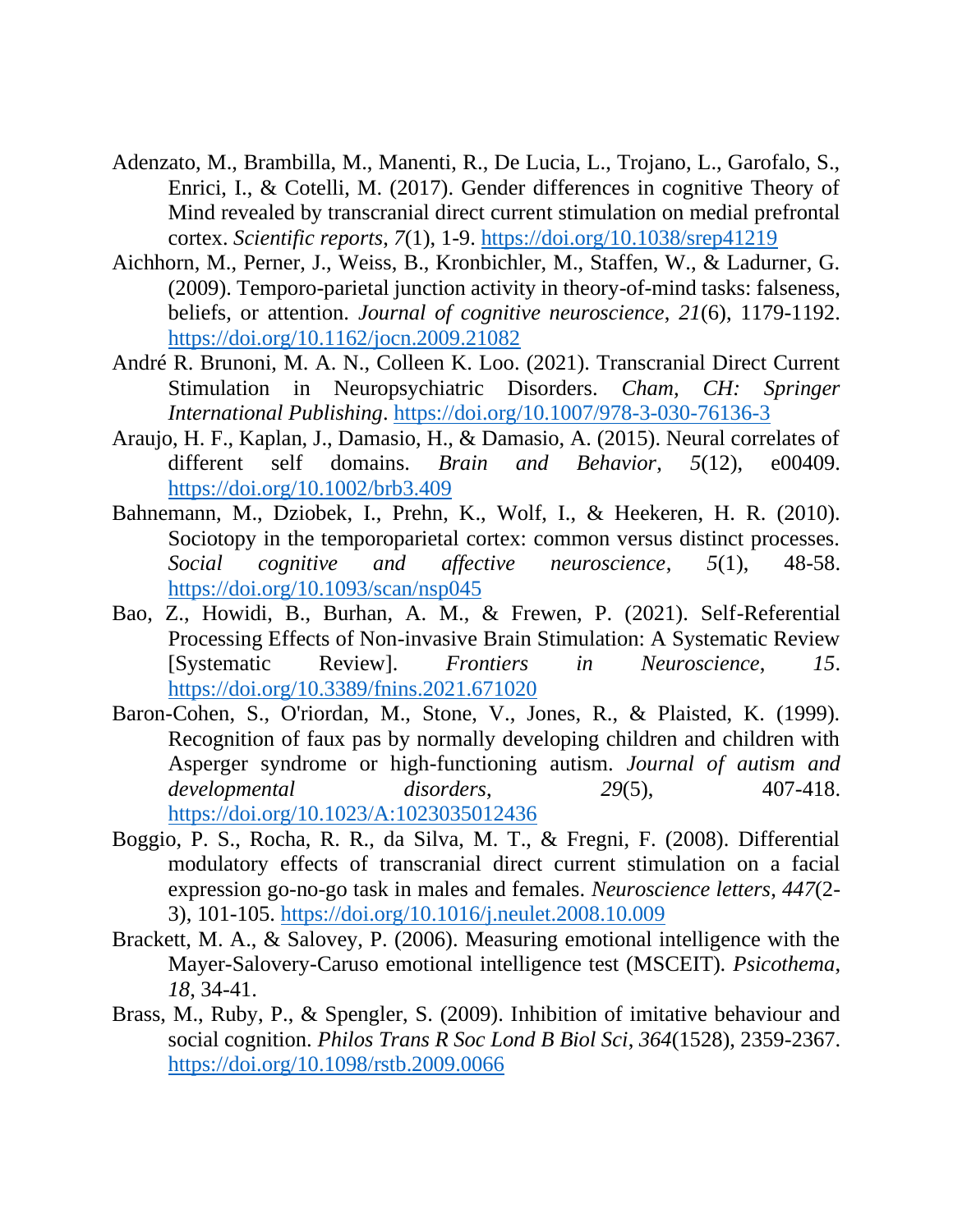- <span id="page-18-3"></span>Adenzato, M., Brambilla, M., Manenti, R., De Lucia, L., Trojano, L., Garofalo, S., Enrici, I., & Cotelli, M. (2017). Gender differences in cognitive Theory of Mind revealed by transcranial direct current stimulation on medial prefrontal cortex. *Scientific reports*, *7*(1), 1-9.<https://doi.org/10.1038/srep41219>
- <span id="page-18-6"></span>Aichhorn, M., Perner, J., Weiss, B., Kronbichler, M., Staffen, W., & Ladurner, G. (2009). Temporo-parietal junction activity in theory-of-mind tasks: falseness, beliefs, or attention. *Journal of cognitive neuroscience*, *21*(6), 1179-1192. <https://doi.org/10.1162/jocn.2009.21082>
- <span id="page-18-2"></span>André R. Brunoni, M. A. N., Colleen K. Loo. (2021). Transcranial Direct Current Stimulation in Neuropsychiatric Disorders. *Cham, CH: Springer International Publishing*.<https://doi.org/10.1007/978-3-030-76136-3>
- <span id="page-18-9"></span>Araujo, H. F., Kaplan, J., Damasio, H., & Damasio, A. (2015). Neural correlates of different self domains. *Brain and Behavior*, *5*(12), e00409. <https://doi.org/10.1002/brb3.409>
- <span id="page-18-4"></span>Bahnemann, M., Dziobek, I., Prehn, K., Wolf, I., & Heekeren, H. R. (2010). Sociotopy in the temporoparietal cortex: common versus distinct processes. *Social cognitive and affective neuroscience*, *5*(1), 48-58. <https://doi.org/10.1093/scan/nsp045>
- <span id="page-18-8"></span>Bao, Z., Howidi, B., Burhan, A. M., & Frewen, P. (2021). Self-Referential Processing Effects of Non-invasive Brain Stimulation: A Systematic Review [Systematic Review]. *Frontiers in Neuroscience*, *15*. <https://doi.org/10.3389/fnins.2021.671020>
- <span id="page-18-0"></span>Baron-Cohen, S., O'riordan, M., Stone, V., Jones, R., & Plaisted, K. (1999). Recognition of faux pas by normally developing children and children with Asperger syndrome or high-functioning autism. *Journal of autism and developmental disorders*, *29*(5), 407-418. <https://doi.org/10.1023/A:1023035012436>
- <span id="page-18-7"></span>Boggio, P. S., Rocha, R. R., da Silva, M. T., & Fregni, F. (2008). Differential modulatory effects of transcranial direct current stimulation on a facial expression go-no-go task in males and females. *Neuroscience letters*, *447*(2- 3), 101-105.<https://doi.org/10.1016/j.neulet.2008.10.009>
- <span id="page-18-1"></span>Brackett, M. A., & Salovey, P. (2006). Measuring emotional intelligence with the Mayer-Salovery-Caruso emotional intelligence test (MSCEIT). *Psicothema*, *18*, 34-41.
- <span id="page-18-5"></span>Brass, M., Ruby, P., & Spengler, S. (2009). Inhibition of imitative behaviour and social cognition. *Philos Trans R Soc Lond B Biol Sci*, *364*(1528), 2359-2367. <https://doi.org/10.1098/rstb.2009.0066>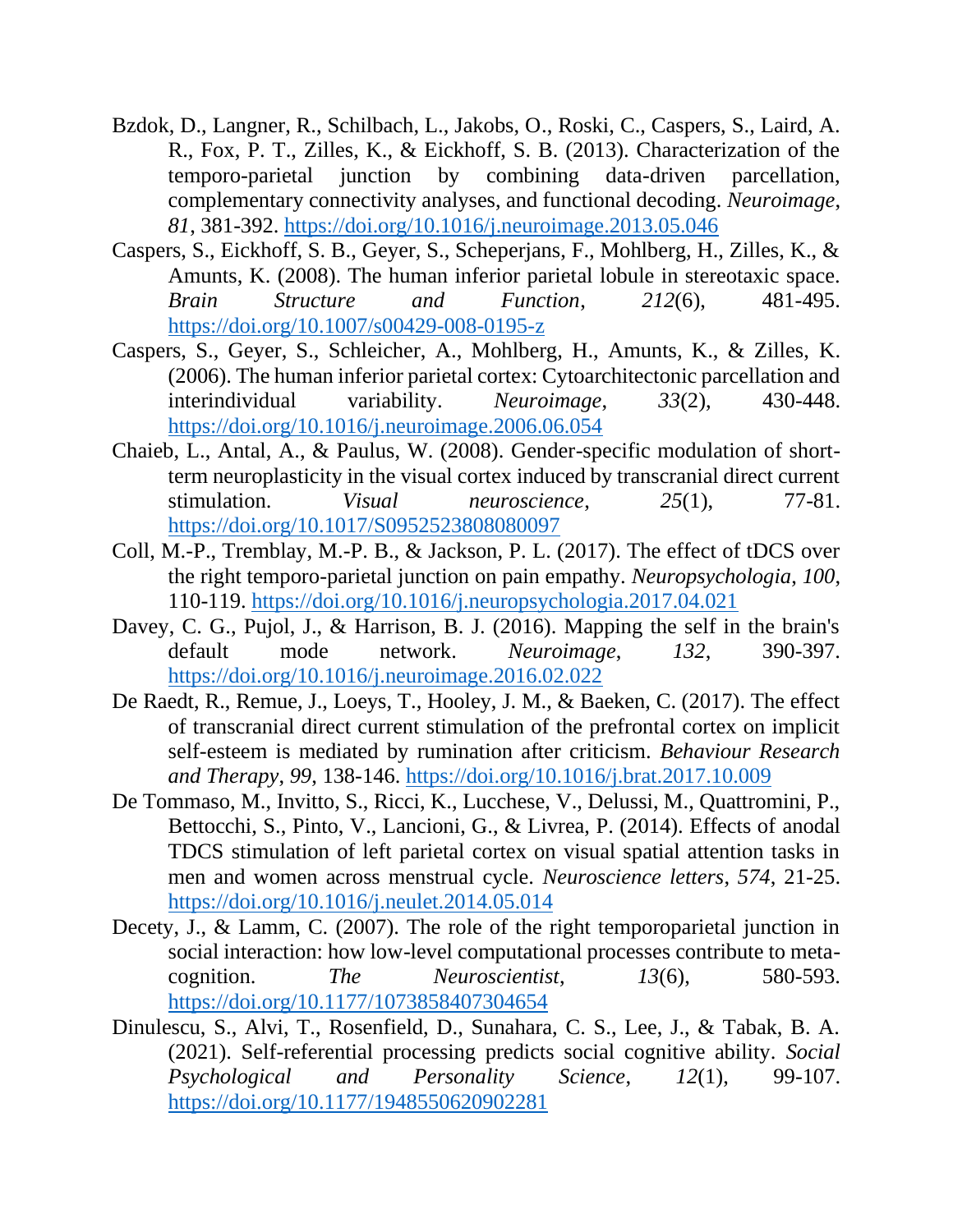- <span id="page-19-3"></span>Bzdok, D., Langner, R., Schilbach, L., Jakobs, O., Roski, C., Caspers, S., Laird, A. R., Fox, P. T., Zilles, K., & Eickhoff, S. B. (2013). Characterization of the temporo-parietal junction by combining data-driven parcellation, complementary connectivity analyses, and functional decoding. *Neuroimage*, *81*, 381-392.<https://doi.org/10.1016/j.neuroimage.2013.05.046>
- <span id="page-19-4"></span>Caspers, S., Eickhoff, S. B., Geyer, S., Scheperjans, F., Mohlberg, H., Zilles, K., & Amunts, K. (2008). The human inferior parietal lobule in stereotaxic space. *Brain Structure and Function*, *212*(6), 481-495. <https://doi.org/10.1007/s00429-008-0195-z>
- <span id="page-19-5"></span>Caspers, S., Geyer, S., Schleicher, A., Mohlberg, H., Amunts, K., & Zilles, K. (2006). The human inferior parietal cortex: Cytoarchitectonic parcellation and interindividual variability. *Neuroimage*, *33*(2), 430-448. <https://doi.org/10.1016/j.neuroimage.2006.06.054>
- <span id="page-19-6"></span>Chaieb, L., Antal, A., & Paulus, W. (2008). Gender-specific modulation of shortterm neuroplasticity in the visual cortex induced by transcranial direct current stimulation. *Visual neuroscience*, *25*(1), 77-81. <https://doi.org/10.1017/S0952523808080097>
- <span id="page-19-0"></span>Coll, M.-P., Tremblay, M.-P. B., & Jackson, P. L. (2017). The effect of tDCS over the right temporo-parietal junction on pain empathy. *Neuropsychologia*, *100*, 110-119.<https://doi.org/10.1016/j.neuropsychologia.2017.04.021>
- <span id="page-19-9"></span>Davey, C. G., Pujol, J., & Harrison, B. J. (2016). Mapping the self in the brain's default mode network. *Neuroimage*, *132*, 390-397. <https://doi.org/10.1016/j.neuroimage.2016.02.022>
- <span id="page-19-8"></span>De Raedt, R., Remue, J., Loeys, T., Hooley, J. M., & Baeken, C. (2017). The effect of transcranial direct current stimulation of the prefrontal cortex on implicit self-esteem is mediated by rumination after criticism. *Behaviour Research and Therapy*, *99*, 138-146.<https://doi.org/10.1016/j.brat.2017.10.009>
- <span id="page-19-7"></span>De Tommaso, M., Invitto, S., Ricci, K., Lucchese, V., Delussi, M., Quattromini, P., Bettocchi, S., Pinto, V., Lancioni, G., & Livrea, P. (2014). Effects of anodal TDCS stimulation of left parietal cortex on visual spatial attention tasks in men and women across menstrual cycle. *Neuroscience letters*, *574*, 21-25. <https://doi.org/10.1016/j.neulet.2014.05.014>
- <span id="page-19-2"></span>Decety, J., & Lamm, C. (2007). The role of the right temporoparietal junction in social interaction: how low-level computational processes contribute to metacognition. *The Neuroscientist*, *13*(6), 580-593. <https://doi.org/10.1177/1073858407304654>
- <span id="page-19-1"></span>Dinulescu, S., Alvi, T., Rosenfield, D., Sunahara, C. S., Lee, J., & Tabak, B. A. (2021). Self-referential processing predicts social cognitive ability. *Social Psychological and Personality Science*, *12*(1), 99-107. <https://doi.org/10.1177/1948550620902281>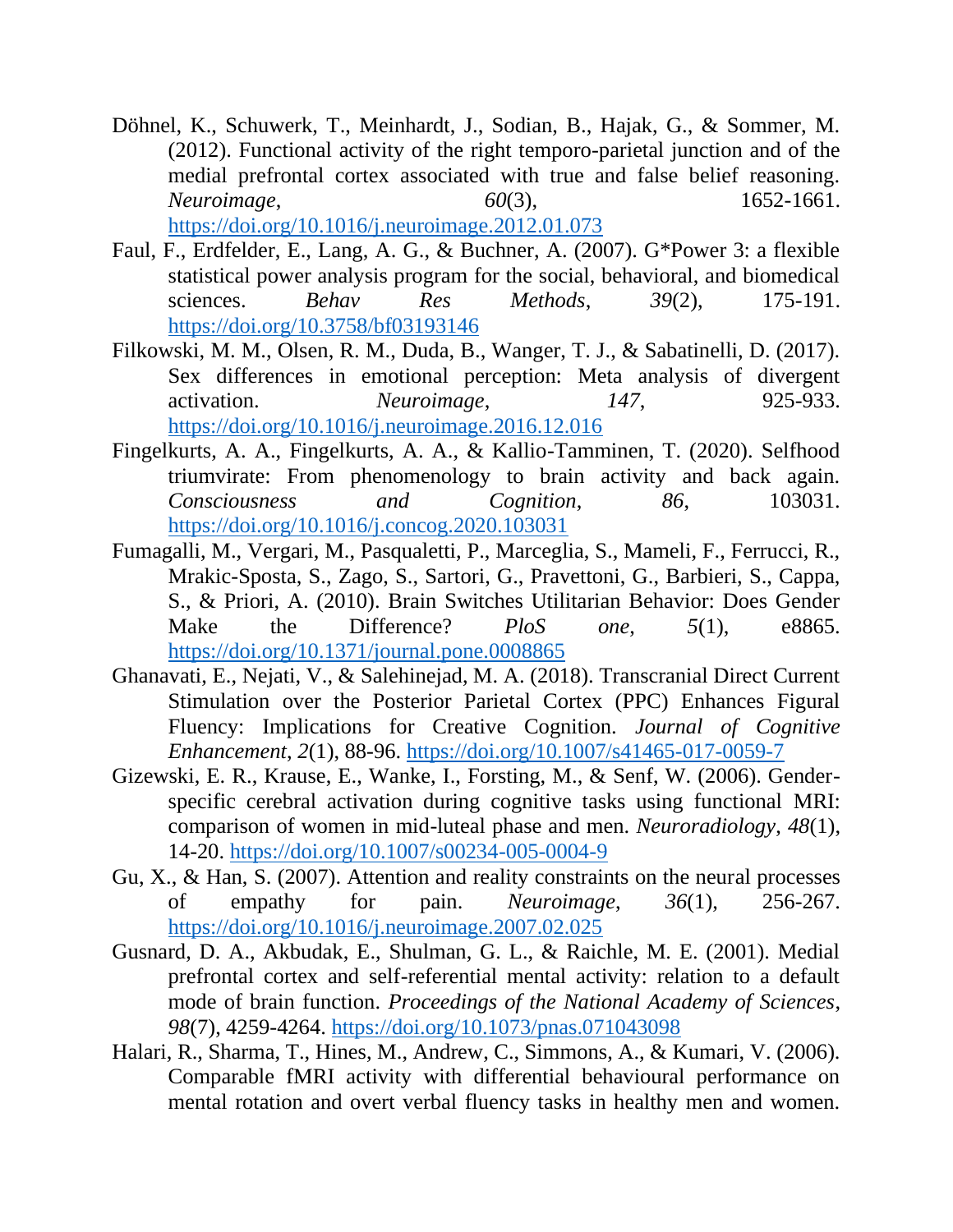- <span id="page-20-7"></span>Döhnel, K., Schuwerk, T., Meinhardt, J., Sodian, B., Hajak, G., & Sommer, M. (2012). Functional activity of the right temporo-parietal junction and of the medial prefrontal cortex associated with true and false belief reasoning. *Neuroimage*, *60*(3), 1652-1661. <https://doi.org/10.1016/j.neuroimage.2012.01.073>
- <span id="page-20-5"></span>Faul, F., Erdfelder, E., Lang, A. G., & Buchner, A. (2007). G\*Power 3: a flexible statistical power analysis program for the social, behavioral, and biomedical sciences. *Behav Res Methods*, *39*(2), 175-191. <https://doi.org/10.3758/bf03193146>
- <span id="page-20-2"></span>Filkowski, M. M., Olsen, R. M., Duda, B., Wanger, T. J., & Sabatinelli, D. (2017). Sex differences in emotional perception: Meta analysis of divergent activation. *Neuroimage*, *147*, 925-933. <https://doi.org/10.1016/j.neuroimage.2016.12.016>
- <span id="page-20-9"></span>Fingelkurts, A. A., Fingelkurts, A. A., & Kallio-Tamminen, T. (2020). Selfhood triumvirate: From phenomenology to brain activity and back again. *Consciousness and Cognition*, *86*, 103031. <https://doi.org/10.1016/j.concog.2020.103031>
- <span id="page-20-8"></span>Fumagalli, M., Vergari, M., Pasqualetti, P., Marceglia, S., Mameli, F., Ferrucci, R., Mrakic-Sposta, S., Zago, S., Sartori, G., Pravettoni, G., Barbieri, S., Cappa, S., & Priori, A. (2010). Brain Switches Utilitarian Behavior: Does Gender Make the Difference? *PloS one*, *5*(1), e8865. <https://doi.org/10.1371/journal.pone.0008865>
- <span id="page-20-4"></span>Ghanavati, E., Nejati, V., & Salehinejad, M. A. (2018). Transcranial Direct Current Stimulation over the Posterior Parietal Cortex (PPC) Enhances Figural Fluency: Implications for Creative Cognition. *Journal of Cognitive Enhancement*, *2*(1), 88-96.<https://doi.org/10.1007/s41465-017-0059-7>
- <span id="page-20-0"></span>Gizewski, E. R., Krause, E., Wanke, I., Forsting, M., & Senf, W. (2006). Genderspecific cerebral activation during cognitive tasks using functional MRI: comparison of women in mid-luteal phase and men. *Neuroradiology*, *48*(1), 14-20.<https://doi.org/10.1007/s00234-005-0004-9>
- <span id="page-20-6"></span>Gu, X., & Han, S. (2007). Attention and reality constraints on the neural processes of empathy for pain. *Neuroimage*, *36*(1), 256-267. <https://doi.org/10.1016/j.neuroimage.2007.02.025>
- <span id="page-20-3"></span>Gusnard, D. A., Akbudak, E., Shulman, G. L., & Raichle, M. E. (2001). Medial prefrontal cortex and self-referential mental activity: relation to a default mode of brain function. *Proceedings of the National Academy of Sciences*, *98*(7), 4259-4264.<https://doi.org/10.1073/pnas.071043098>
- <span id="page-20-1"></span>Halari, R., Sharma, T., Hines, M., Andrew, C., Simmons, A., & Kumari, V. (2006). Comparable fMRI activity with differential behavioural performance on mental rotation and overt verbal fluency tasks in healthy men and women.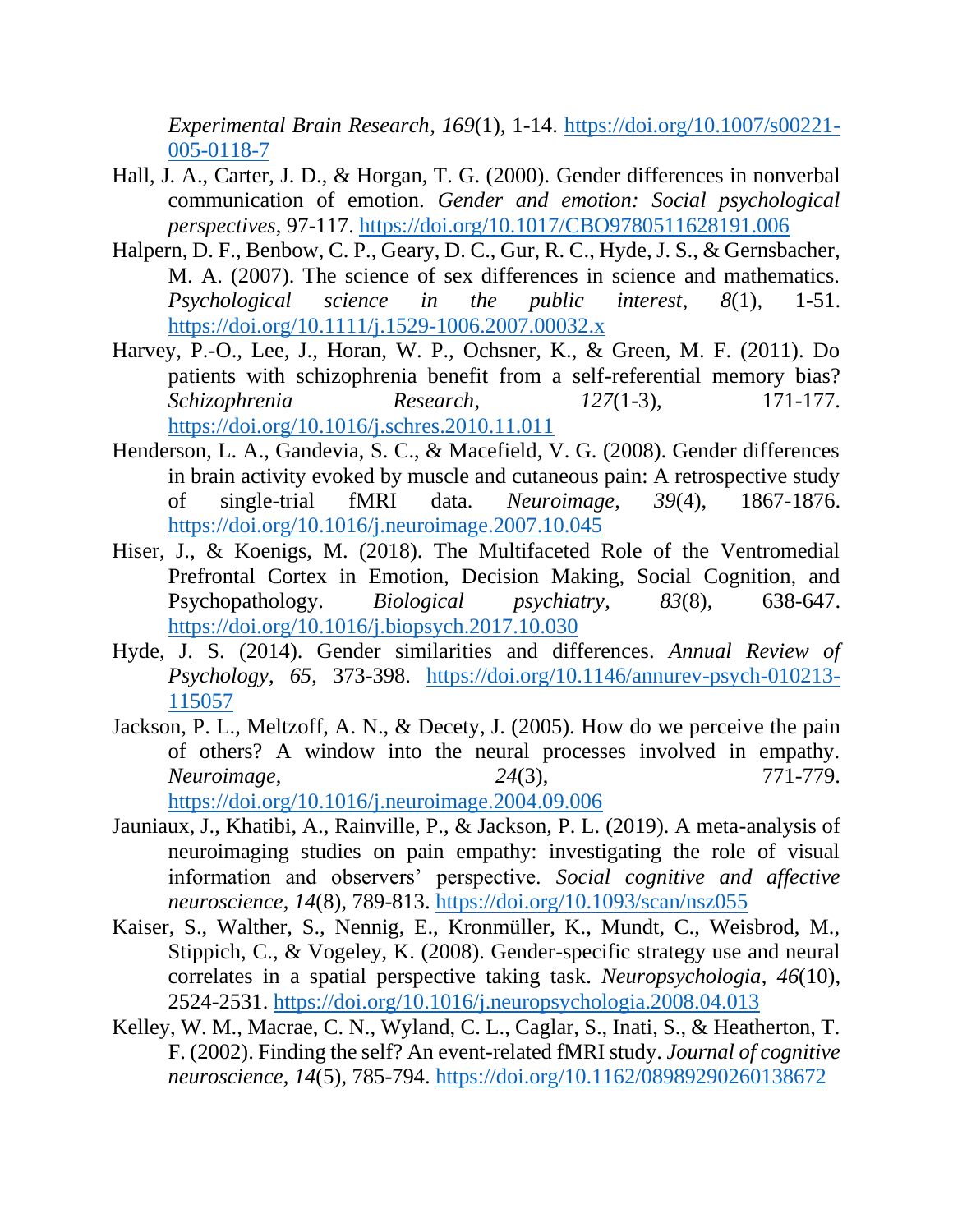*Experimental Brain Research*, *169*(1), 1-14. [https://doi.org/10.1007/s00221-](https://doi.org/10.1007/s00221-005-0118-7) [005-0118-7](https://doi.org/10.1007/s00221-005-0118-7)

- <span id="page-21-0"></span>Hall, J. A., Carter, J. D., & Horgan, T. G. (2000). Gender differences in nonverbal communication of emotion. *Gender and emotion: Social psychological perspectives*, 97-117.<https://doi.org/10.1017/CBO9780511628191.006>
- <span id="page-21-1"></span>Halpern, D. F., Benbow, C. P., Geary, D. C., Gur, R. C., Hyde, J. S., & Gernsbacher, M. A. (2007). The science of sex differences in science and mathematics. *Psychological science in the public interest*, *8*(1), 1-51. <https://doi.org/10.1111/j.1529-1006.2007.00032.x>
- <span id="page-21-8"></span>Harvey, P.-O., Lee, J., Horan, W. P., Ochsner, K., & Green, M. F. (2011). Do patients with schizophrenia benefit from a self-referential memory bias? *Schizophrenia Research*, *127*(1-3), 171-177. <https://doi.org/10.1016/j.schres.2010.11.011>
- <span id="page-21-5"></span>Henderson, L. A., Gandevia, S. C., & Macefield, V. G. (2008). Gender differences in brain activity evoked by muscle and cutaneous pain: A retrospective study of single-trial fMRI data. *Neuroimage*, *39*(4), 1867-1876. <https://doi.org/10.1016/j.neuroimage.2007.10.045>
- <span id="page-21-9"></span>Hiser, J., & Koenigs, M. (2018). The Multifaceted Role of the Ventromedial Prefrontal Cortex in Emotion, Decision Making, Social Cognition, and Psychopathology. *Biological psychiatry*, *83*(8), 638-647. <https://doi.org/10.1016/j.biopsych.2017.10.030>
- <span id="page-21-2"></span>Hyde, J. S. (2014). Gender similarities and differences. *Annual Review of Psychology*, *65*, 373-398. [https://doi.org/10.1146/annurev-psych-010213-](https://doi.org/10.1146/annurev-psych-010213-115057) [115057](https://doi.org/10.1146/annurev-psych-010213-115057)
- <span id="page-21-4"></span>Jackson, P. L., Meltzoff, A. N., & Decety, J. (2005). How do we perceive the pain of others? A window into the neural processes involved in empathy. *Neuroimage*, *24*(3), 771-779. <https://doi.org/10.1016/j.neuroimage.2004.09.006>
- <span id="page-21-7"></span>Jauniaux, J., Khatibi, A., Rainville, P., & Jackson, P. L. (2019). A meta-analysis of neuroimaging studies on pain empathy: investigating the role of visual information and observers' perspective. *Social cognitive and affective neuroscience*, *14*(8), 789-813.<https://doi.org/10.1093/scan/nsz055>
- <span id="page-21-3"></span>Kaiser, S., Walther, S., Nennig, E., Kronmüller, K., Mundt, C., Weisbrod, M., Stippich, C., & Vogeley, K. (2008). Gender-specific strategy use and neural correlates in a spatial perspective taking task. *Neuropsychologia*, *46*(10), 2524-2531.<https://doi.org/10.1016/j.neuropsychologia.2008.04.013>
- <span id="page-21-6"></span>Kelley, W. M., Macrae, C. N., Wyland, C. L., Caglar, S., Inati, S., & Heatherton, T. F. (2002). Finding the self? An event-related fMRI study. *Journal of cognitive neuroscience*, *14*(5), 785-794.<https://doi.org/10.1162/08989290260138672>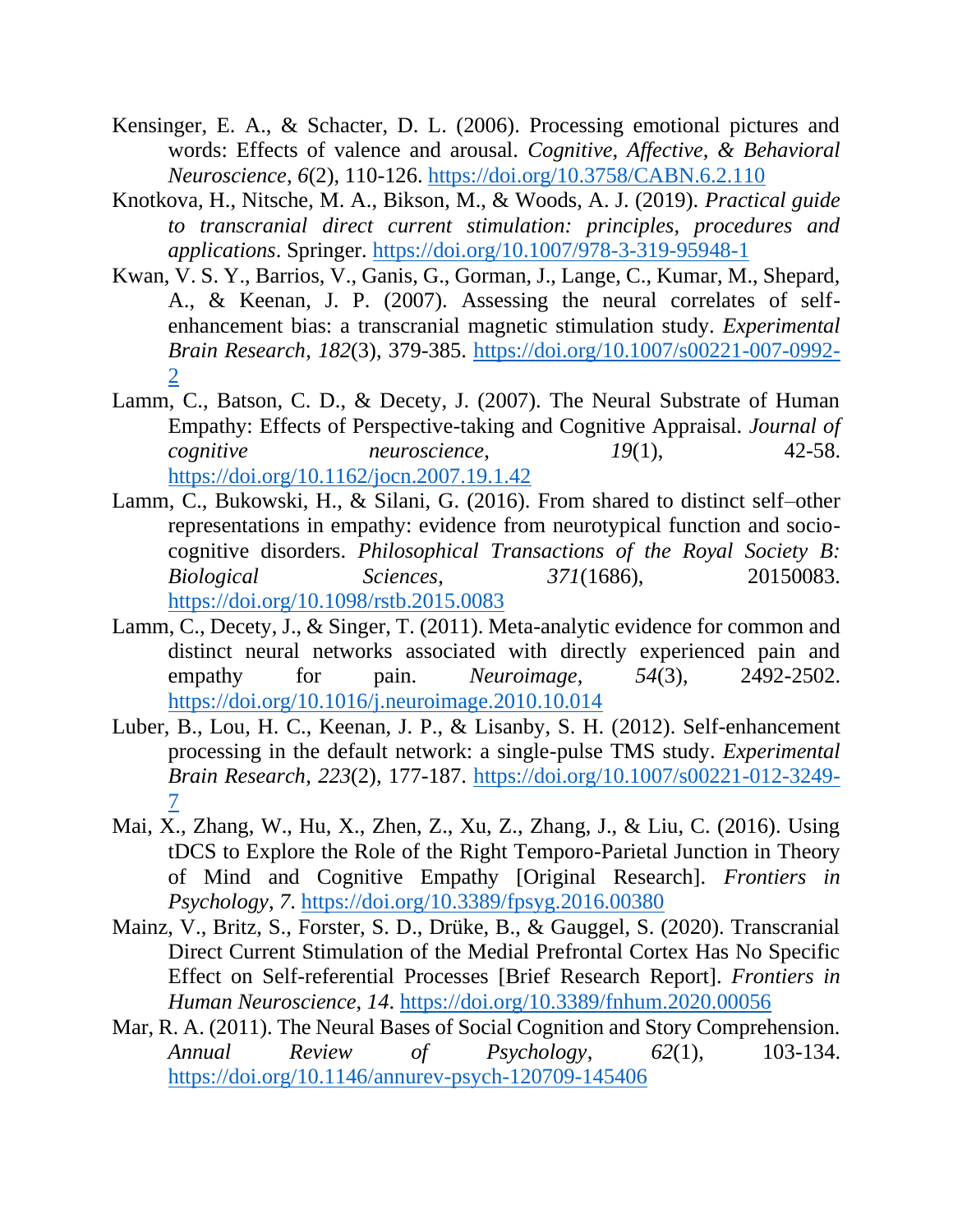- <span id="page-22-4"></span>Kensinger, E. A., & Schacter, D. L. (2006). Processing emotional pictures and words: Effects of valence and arousal. *Cognitive, Affective, & Behavioral Neuroscience*, *6*(2), 110-126.<https://doi.org/10.3758/CABN.6.2.110>
- <span id="page-22-1"></span>Knotkova, H., Nitsche, M. A., Bikson, M., & Woods, A. J. (2019). *Practical guide to transcranial direct current stimulation: principles, procedures and applications*. Springer.<https://doi.org/10.1007/978-3-319-95948-1>
- <span id="page-22-8"></span>Kwan, V. S. Y., Barrios, V., Ganis, G., Gorman, J., Lange, C., Kumar, M., Shepard, A., & Keenan, J. P. (2007). Assessing the neural correlates of selfenhancement bias: a transcranial magnetic stimulation study. *Experimental Brain Research*, *182*(3), 379-385. [https://doi.org/10.1007/s00221-007-0992-](https://doi.org/10.1007/s00221-007-0992-2) [2](https://doi.org/10.1007/s00221-007-0992-2)
- <span id="page-22-0"></span>Lamm, C., Batson, C. D., & Decety, J. (2007). The Neural Substrate of Human Empathy: Effects of Perspective-taking and Cognitive Appraisal. *Journal of cognitive neuroscience*, *19*(1), 42-58. <https://doi.org/10.1162/jocn.2007.19.1.42>
- <span id="page-22-5"></span>Lamm, C., Bukowski, H., & Silani, G. (2016). From shared to distinct self–other representations in empathy: evidence from neurotypical function and sociocognitive disorders. *Philosophical Transactions of the Royal Society B: Biological Sciences*, *371*(1686), 20150083. <https://doi.org/10.1098/rstb.2015.0083>
- <span id="page-22-6"></span>Lamm, C., Decety, J., & Singer, T. (2011). Meta-analytic evidence for common and distinct neural networks associated with directly experienced pain and empathy for pain. *Neuroimage*, *54*(3), 2492-2502. <https://doi.org/10.1016/j.neuroimage.2010.10.014>
- <span id="page-22-9"></span>Luber, B., Lou, H. C., Keenan, J. P., & Lisanby, S. H. (2012). Self-enhancement processing in the default network: a single-pulse TMS study. *Experimental Brain Research*, *223*(2), 177-187. [https://doi.org/10.1007/s00221-012-3249-](https://doi.org/10.1007/s00221-012-3249-7) [7](https://doi.org/10.1007/s00221-012-3249-7)
- <span id="page-22-3"></span>Mai, X., Zhang, W., Hu, X., Zhen, Z., Xu, Z., Zhang, J., & Liu, C. (2016). Using tDCS to Explore the Role of the Right Temporo-Parietal Junction in Theory of Mind and Cognitive Empathy [Original Research]. *Frontiers in Psychology*, *7*.<https://doi.org/10.3389/fpsyg.2016.00380>
- <span id="page-22-2"></span>Mainz, V., Britz, S., Forster, S. D., Drüke, B., & Gauggel, S. (2020). Transcranial Direct Current Stimulation of the Medial Prefrontal Cortex Has No Specific Effect on Self-referential Processes [Brief Research Report]. *Frontiers in Human Neuroscience*, *14*.<https://doi.org/10.3389/fnhum.2020.00056>
- <span id="page-22-7"></span>Mar, R. A. (2011). The Neural Bases of Social Cognition and Story Comprehension. *Annual Review of Psychology*, *62*(1), 103-134. <https://doi.org/10.1146/annurev-psych-120709-145406>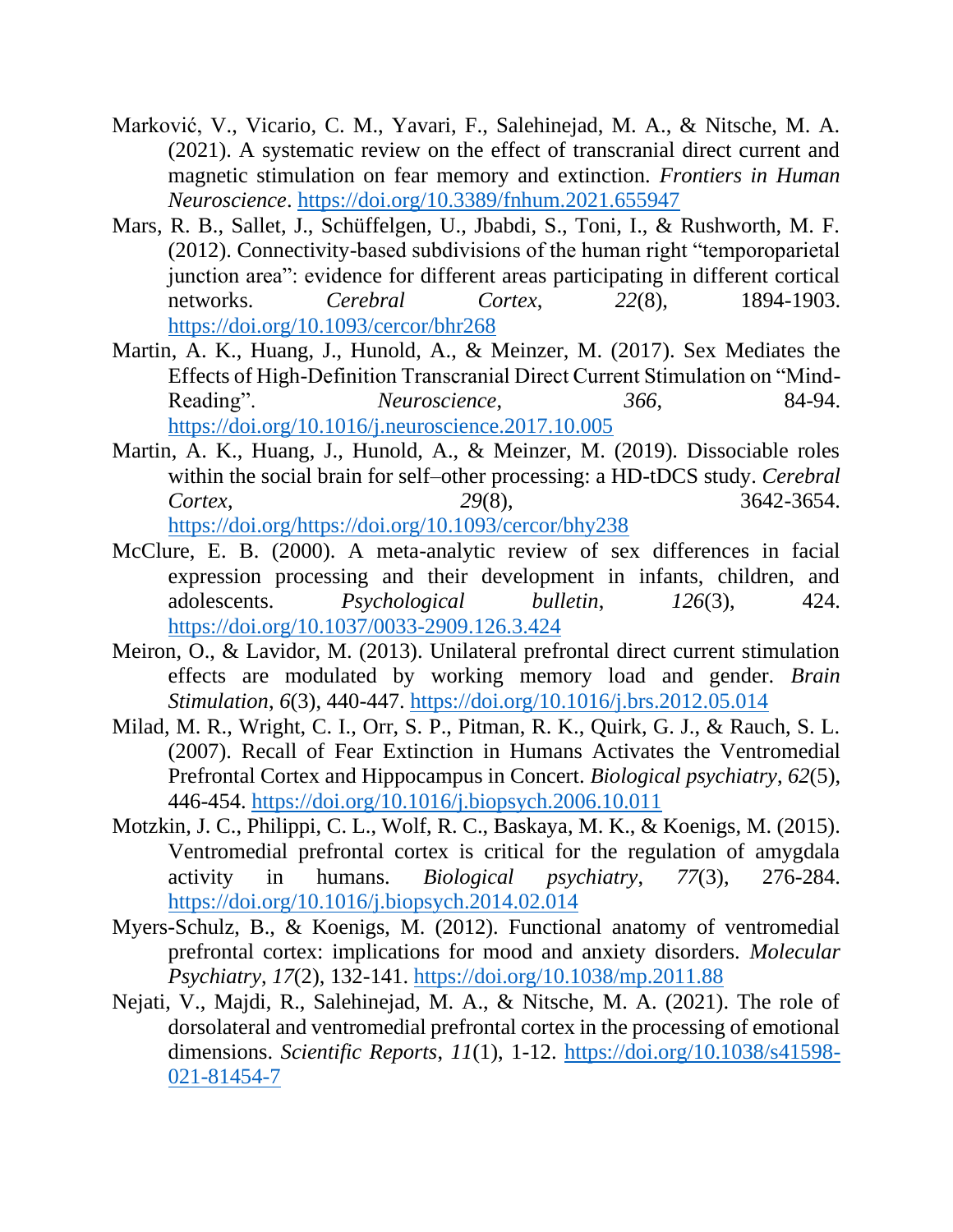- <span id="page-23-3"></span>Marković, V., Vicario, C. M., Yavari, F., Salehinejad, M. A., & Nitsche, M. A. (2021). A systematic review on the effect of transcranial direct current and magnetic stimulation on fear memory and extinction. *Frontiers in Human Neuroscience*.<https://doi.org/10.3389/fnhum.2021.655947>
- <span id="page-23-8"></span>Mars, R. B., Sallet, J., Schüffelgen, U., Jbabdi, S., Toni, I., & Rushworth, M. F. (2012). Connectivity-based subdivisions of the human right "temporoparietal junction area": evidence for different areas participating in different cortical networks. *Cerebral Cortex*, *22*(8), 1894-1903. <https://doi.org/10.1093/cercor/bhr268>
- <span id="page-23-2"></span>Martin, A. K., Huang, J., Hunold, A., & Meinzer, M. (2017). Sex Mediates the Effects of High-Definition Transcranial Direct Current Stimulation on "Mind-Reading". *Neuroscience*, 366, 84-94. <https://doi.org/10.1016/j.neuroscience.2017.10.005>
- <span id="page-23-1"></span>Martin, A. K., Huang, J., Hunold, A., & Meinzer, M. (2019). Dissociable roles within the social brain for self–other processing: a HD-tDCS study. *Cerebral Cortex*, *29*(8), 3642-3654. [https://doi.org/https://doi.org/10.1093/cercor/bhy238](https://doi.org/https:/doi.org/10.1093/cercor/bhy238)
- <span id="page-23-0"></span>McClure, E. B. (2000). A meta-analytic review of sex differences in facial expression processing and their development in infants, children, and adolescents. *Psychological bulletin*, *126*(3), 424. <https://doi.org/10.1037/0033-2909.126.3.424>
- <span id="page-23-9"></span>Meiron, O., & Lavidor, M. (2013). Unilateral prefrontal direct current stimulation effects are modulated by working memory load and gender. *Brain Stimulation*, *6*(3), 440-447.<https://doi.org/10.1016/j.brs.2012.05.014>
- <span id="page-23-6"></span>Milad, M. R., Wright, C. I., Orr, S. P., Pitman, R. K., Quirk, G. J., & Rauch, S. L. (2007). Recall of Fear Extinction in Humans Activates the Ventromedial Prefrontal Cortex and Hippocampus in Concert. *Biological psychiatry*, *62*(5), 446-454.<https://doi.org/10.1016/j.biopsych.2006.10.011>
- <span id="page-23-7"></span>Motzkin, J. C., Philippi, C. L., Wolf, R. C., Baskaya, M. K., & Koenigs, M. (2015). Ventromedial prefrontal cortex is critical for the regulation of amygdala activity in humans. *Biological psychiatry*, *77*(3), 276-284. <https://doi.org/10.1016/j.biopsych.2014.02.014>
- <span id="page-23-5"></span>Myers-Schulz, B., & Koenigs, M. (2012). Functional anatomy of ventromedial prefrontal cortex: implications for mood and anxiety disorders. *Molecular Psychiatry*, *17*(2), 132-141.<https://doi.org/10.1038/mp.2011.88>
- <span id="page-23-4"></span>Nejati, V., Majdi, R., Salehinejad, M. A., & Nitsche, M. A. (2021). The role of dorsolateral and ventromedial prefrontal cortex in the processing of emotional dimensions. *Scientific Reports*, *11*(1), 1-12. [https://doi.org/10.1038/s41598-](https://doi.org/10.1038/s41598-021-81454-7) [021-81454-7](https://doi.org/10.1038/s41598-021-81454-7)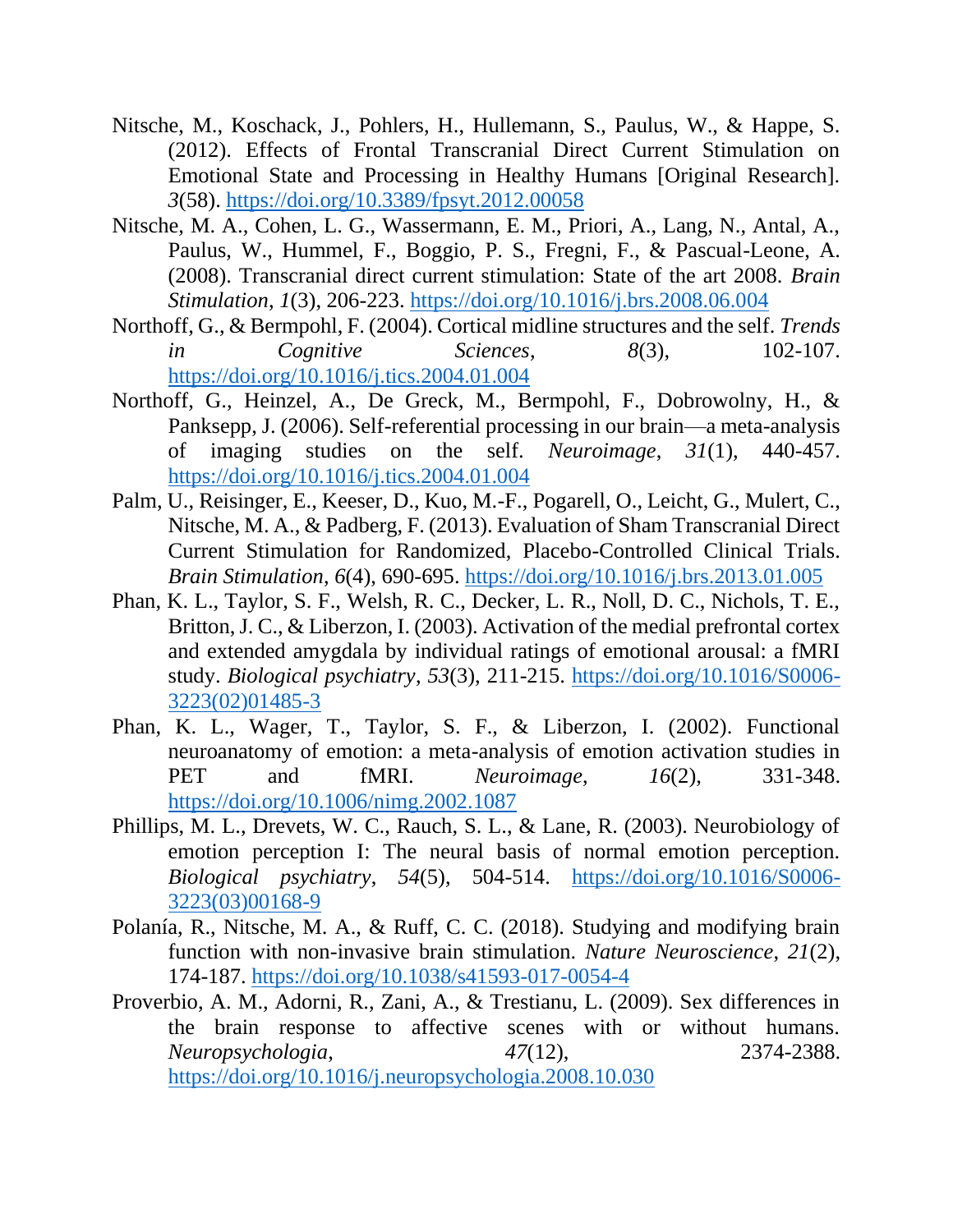- <span id="page-24-2"></span>Nitsche, M., Koschack, J., Pohlers, H., Hullemann, S., Paulus, W., & Happe, S. (2012). Effects of Frontal Transcranial Direct Current Stimulation on Emotional State and Processing in Healthy Humans [Original Research]. *3*(58).<https://doi.org/10.3389/fpsyt.2012.00058>
- <span id="page-24-4"></span>Nitsche, M. A., Cohen, L. G., Wassermann, E. M., Priori, A., Lang, N., Antal, A., Paulus, W., Hummel, F., Boggio, P. S., Fregni, F., & Pascual-Leone, A. (2008). Transcranial direct current stimulation: State of the art 2008. *Brain Stimulation*, *1*(3), 206-223.<https://doi.org/10.1016/j.brs.2008.06.004>
- <span id="page-24-9"></span>Northoff, G., & Bermpohl, F. (2004). Cortical midline structures and the self. *Trends in Cognitive Sciences*, *8*(3), 102-107. <https://doi.org/10.1016/j.tics.2004.01.004>
- <span id="page-24-1"></span>Northoff, G., Heinzel, A., De Greck, M., Bermpohl, F., Dobrowolny, H., & Panksepp, J. (2006). Self-referential processing in our brain—a meta-analysis of imaging studies on the self. *Neuroimage*, *31*(1), 440-457. <https://doi.org/10.1016/j.tics.2004.01.004>
- <span id="page-24-5"></span>Palm, U., Reisinger, E., Keeser, D., Kuo, M.-F., Pogarell, O., Leicht, G., Mulert, C., Nitsche, M. A., & Padberg, F. (2013). Evaluation of Sham Transcranial Direct Current Stimulation for Randomized, Placebo-Controlled Clinical Trials. *Brain Stimulation*, *6*(4), 690-695.<https://doi.org/10.1016/j.brs.2013.01.005>
- <span id="page-24-6"></span>Phan, K. L., Taylor, S. F., Welsh, R. C., Decker, L. R., Noll, D. C., Nichols, T. E., Britton, J. C., & Liberzon, I. (2003). Activation of the medial prefrontal cortex and extended amygdala by individual ratings of emotional arousal: a fMRI study. *Biological psychiatry*, *53*(3), 211-215. [https://doi.org/10.1016/S0006-](https://doi.org/10.1016/S0006-3223(02)01485-3) [3223\(02\)01485-3](https://doi.org/10.1016/S0006-3223(02)01485-3)
- <span id="page-24-7"></span>Phan, K. L., Wager, T., Taylor, S. F., & Liberzon, I. (2002). Functional neuroanatomy of emotion: a meta-analysis of emotion activation studies in PET and fMRI. *Neuroimage*, *16*(2), 331-348. <https://doi.org/10.1006/nimg.2002.1087>
- <span id="page-24-8"></span>Phillips, M. L., Drevets, W. C., Rauch, S. L., & Lane, R. (2003). Neurobiology of emotion perception I: The neural basis of normal emotion perception. *Biological psychiatry*, *54*(5), 504-514. [https://doi.org/10.1016/S0006-](https://doi.org/10.1016/S0006-3223(03)00168-9) [3223\(03\)00168-9](https://doi.org/10.1016/S0006-3223(03)00168-9)
- <span id="page-24-3"></span>Polanía, R., Nitsche, M. A., & Ruff, C. C. (2018). Studying and modifying brain function with non-invasive brain stimulation. *Nature Neuroscience*, *21*(2), 174-187.<https://doi.org/10.1038/s41593-017-0054-4>
- <span id="page-24-0"></span>Proverbio, A. M., Adorni, R., Zani, A., & Trestianu, L. (2009). Sex differences in the brain response to affective scenes with or without humans. *Neuropsychologia*, *47*(12), 2374-2388. <https://doi.org/10.1016/j.neuropsychologia.2008.10.030>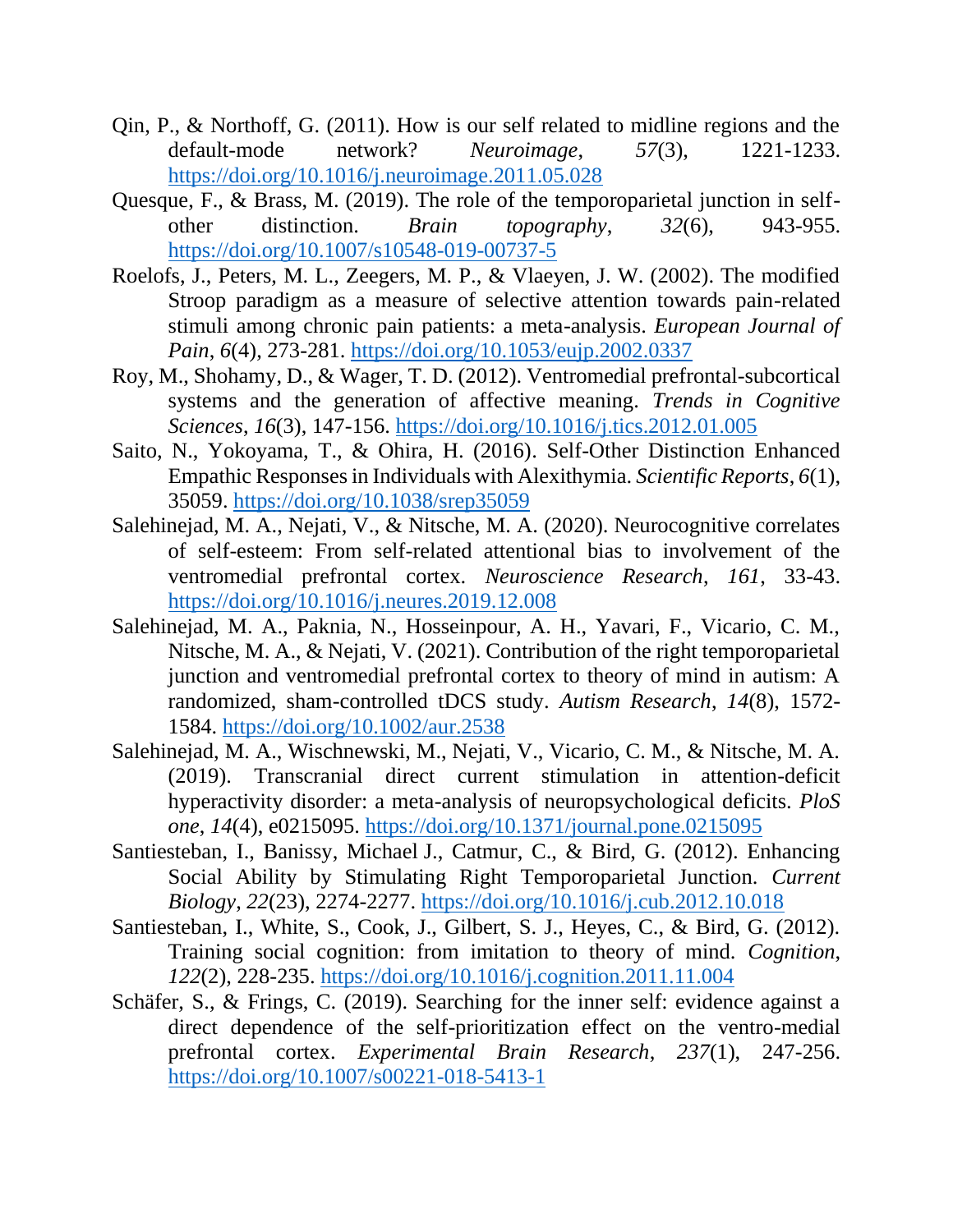- <span id="page-25-9"></span>Qin, P., & Northoff, G. (2011). How is our self related to midline regions and the default-mode network? *Neuroimage*, *57*(3), 1221-1233. <https://doi.org/10.1016/j.neuroimage.2011.05.028>
- <span id="page-25-7"></span>Quesque, F., & Brass, M. (2019). The role of the temporoparietal junction in selfother distinction. *Brain topography*, *32*(6), 943-955. <https://doi.org/10.1007/s10548-019-00737-5>
- <span id="page-25-3"></span>Roelofs, J., Peters, M. L., Zeegers, M. P., & Vlaeyen, J. W. (2002). The modified Stroop paradigm as a measure of selective attention towards pain-related stimuli among chronic pain patients: a meta-analysis. *European Journal of Pain*, *6*(4), 273-281.<https://doi.org/10.1053/eujp.2002.0337>
- <span id="page-25-5"></span>Roy, M., Shohamy, D., & Wager, T. D. (2012). Ventromedial prefrontal-subcortical systems and the generation of affective meaning. *Trends in Cognitive Sciences*, *16*(3), 147-156.<https://doi.org/10.1016/j.tics.2012.01.005>
- <span id="page-25-2"></span>Saito, N., Yokoyama, T., & Ohira, H. (2016). Self-Other Distinction Enhanced Empathic Responses in Individuals with Alexithymia. *Scientific Reports*, *6*(1), 35059.<https://doi.org/10.1038/srep35059>
- <span id="page-25-4"></span>Salehinejad, M. A., Nejati, V., & Nitsche, M. A. (2020). Neurocognitive correlates of self-esteem: From self-related attentional bias to involvement of the ventromedial prefrontal cortex. *Neuroscience Research*, *161*, 33-43. <https://doi.org/10.1016/j.neures.2019.12.008>
- <span id="page-25-6"></span>Salehinejad, M. A., Paknia, N., Hosseinpour, A. H., Yavari, F., Vicario, C. M., Nitsche, M. A., & Nejati, V. (2021). Contribution of the right temporoparietal junction and ventromedial prefrontal cortex to theory of mind in autism: A randomized, sham-controlled tDCS study. *Autism Research*, *14*(8), 1572- 1584.<https://doi.org/10.1002/aur.2538>
- <span id="page-25-0"></span>Salehinejad, M. A., Wischnewski, M., Nejati, V., Vicario, C. M., & Nitsche, M. A. (2019). Transcranial direct current stimulation in attention-deficit hyperactivity disorder: a meta-analysis of neuropsychological deficits. *PloS one*, *14*(4), e0215095.<https://doi.org/10.1371/journal.pone.0215095>
- <span id="page-25-1"></span>Santiesteban, I., Banissy, Michael J., Catmur, C., & Bird, G. (2012). Enhancing Social Ability by Stimulating Right Temporoparietal Junction. *Current Biology*, *22*(23), 2274-2277.<https://doi.org/10.1016/j.cub.2012.10.018>
- <span id="page-25-8"></span>Santiesteban, I., White, S., Cook, J., Gilbert, S. J., Heyes, C., & Bird, G. (2012). Training social cognition: from imitation to theory of mind. *Cognition*, *122*(2), 228-235.<https://doi.org/10.1016/j.cognition.2011.11.004>
- <span id="page-25-10"></span>Schäfer, S., & Frings, C. (2019). Searching for the inner self: evidence against a direct dependence of the self-prioritization effect on the ventro-medial prefrontal cortex. *Experimental Brain Research*, *237*(1), 247-256. <https://doi.org/10.1007/s00221-018-5413-1>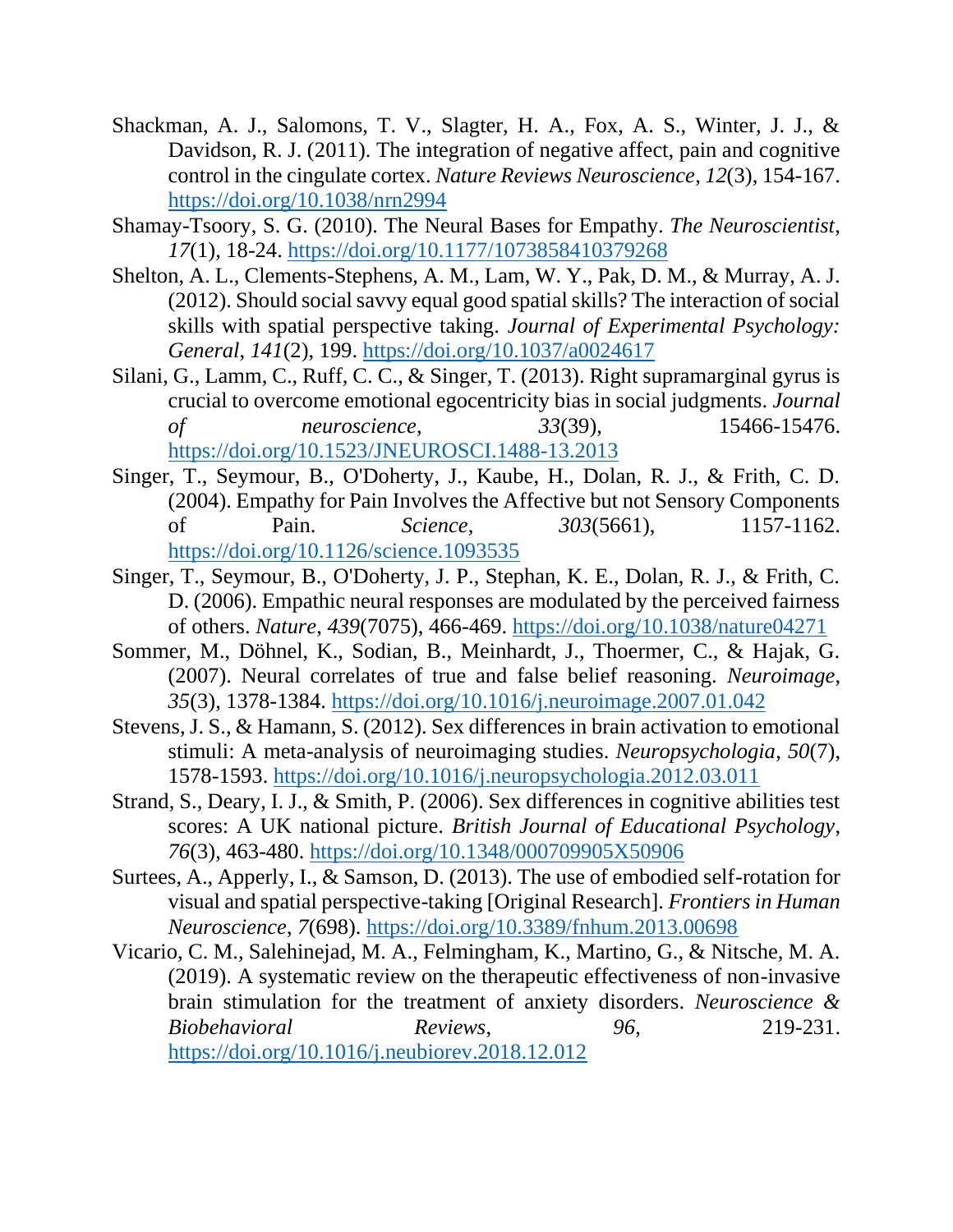- <span id="page-26-8"></span>Shackman, A. J., Salomons, T. V., Slagter, H. A., Fox, A. S., Winter, J. J., & Davidson, R. J. (2011). The integration of negative affect, pain and cognitive control in the cingulate cortex. *Nature Reviews Neuroscience*, *12*(3), 154-167. <https://doi.org/10.1038/nrn2994>
- <span id="page-26-1"></span>Shamay-Tsoory, S. G. (2010). The Neural Bases for Empathy. *The Neuroscientist*, *17*(1), 18-24.<https://doi.org/10.1177/1073858410379268>
- <span id="page-26-7"></span>Shelton, A. L., Clements-Stephens, A. M., Lam, W. Y., Pak, D. M., & Murray, A. J. (2012). Should social savvy equal good spatial skills? The interaction of social skills with spatial perspective taking. *Journal of Experimental Psychology: General*, *141*(2), 199.<https://doi.org/10.1037/a0024617>
- <span id="page-26-9"></span>Silani, G., Lamm, C., Ruff, C. C., & Singer, T. (2013). Right supramarginal gyrus is crucial to overcome emotional egocentricity bias in social judgments. *Journal of neuroscience*, *33*(39), 15466-15476. <https://doi.org/10.1523/JNEUROSCI.1488-13.2013>
- <span id="page-26-5"></span>Singer, T., Seymour, B., O'Doherty, J., Kaube, H., Dolan, R. J., & Frith, C. D. (2004). Empathy for Pain Involves the Affective but not Sensory Components of Pain. *Science*, *303*(5661), 1157-1162. <https://doi.org/10.1126/science.1093535>
- <span id="page-26-3"></span>Singer, T., Seymour, B., O'Doherty, J. P., Stephan, K. E., Dolan, R. J., & Frith, C. D. (2006). Empathic neural responses are modulated by the perceived fairness of others. *Nature*, *439*(7075), 466-469.<https://doi.org/10.1038/nature04271>
- <span id="page-26-10"></span>Sommer, M., Döhnel, K., Sodian, B., Meinhardt, J., Thoermer, C., & Hajak, G. (2007). Neural correlates of true and false belief reasoning. *Neuroimage*, *35*(3), 1378-1384.<https://doi.org/10.1016/j.neuroimage.2007.01.042>
- <span id="page-26-4"></span>Stevens, J. S., & Hamann, S. (2012). Sex differences in brain activation to emotional stimuli: A meta-analysis of neuroimaging studies. *Neuropsychologia*, *50*(7), 1578-1593.<https://doi.org/10.1016/j.neuropsychologia.2012.03.011>
- <span id="page-26-2"></span>Strand, S., Deary, I. J., & Smith, P. (2006). Sex differences in cognitive abilities test scores: A UK national picture. *British Journal of Educational Psychology*, *76*(3), 463-480.<https://doi.org/10.1348/000709905X50906>
- <span id="page-26-0"></span>Surtees, A., Apperly, I., & Samson, D. (2013). The use of embodied self-rotation for visual and spatial perspective-taking [Original Research]. *Frontiers in Human Neuroscience*, *7*(698).<https://doi.org/10.3389/fnhum.2013.00698>
- <span id="page-26-6"></span>Vicario, C. M., Salehinejad, M. A., Felmingham, K., Martino, G., & Nitsche, M. A. (2019). A systematic review on the therapeutic effectiveness of non-invasive brain stimulation for the treatment of anxiety disorders. *Neuroscience & Biobehavioral Reviews*, *96*, 219-231. <https://doi.org/10.1016/j.neubiorev.2018.12.012>